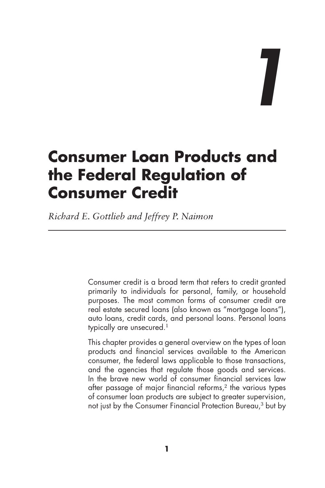*1*

# **Consumer Loan Products and the Federal Regulation of Consumer Credit**

*Richard E. Gottlieb and Jeffrey P. Naimon*

Consumer credit is a broad term that refers to credit granted primarily to individuals for personal, family, or household purposes. The most common forms of consumer credit are real estate secured loans (also known as "mortgage loans"), auto loans, credit cards, and personal loans. Personal loans typically are unsecured.<sup>1</sup>

This chapter provides a general overview on the types of loan products and financial services available to the American consumer, the federal laws applicable to those transactions, and the agencies that regulate those goods and services. In the brave new world of consumer financial services law after passage of major financial reforms,<sup>2</sup> the various types of consumer loan products are subject to greater supervision, not just by the Consumer Financial Protection Bureau,3 but by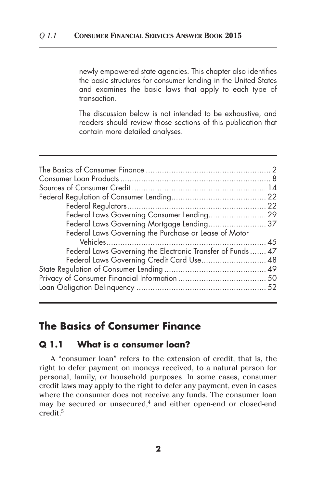newly empowered state agencies. This chapter also identifies the basic structures for consumer lending in the United States and examines the basic laws that apply to each type of transaction.

The discussion below is not intended to be exhaustive, and readers should review those sections of this publication that contain more detailed analyses.

| Federal Laws Governing Consumer Lending 29                  |  |
|-------------------------------------------------------------|--|
| Federal Laws Governing Mortgage Lending 37                  |  |
| Federal Laws Governing the Purchase or Lease of Motor       |  |
|                                                             |  |
| Federal Laws Governing the Electronic Transfer of Funds  47 |  |
| Federal Laws Governing Credit Card Use 48                   |  |
|                                                             |  |
|                                                             |  |
|                                                             |  |
|                                                             |  |

# **The Basics of Consumer Finance**

#### **Q 1.1 What is a consumer loan?**

A "consumer loan" refers to the extension of credit, that is, the right to defer payment on moneys received, to a natural person for personal, family, or household purposes. In some cases, consumer credit laws may apply to the right to defer any payment, even in cases where the consumer does not receive any funds. The consumer loan may be secured or unsecured, $4$  and either open-end or closed-end credit.5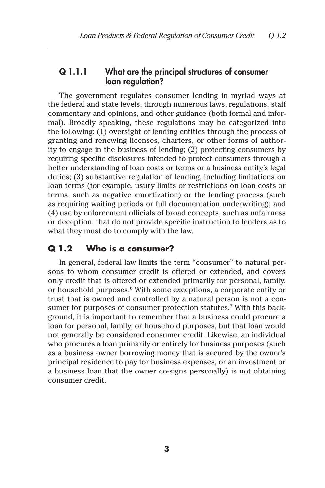### Q 1.1.1 What are the principal structures of consumer loan regulation?

The government regulates consumer lending in myriad ways at the federal and state levels, through numerous laws, regulations, staff commentary and opinions, and other guidance (both formal and informal). Broadly speaking, these regulations may be categorized into the following: (1) oversight of lending entities through the process of granting and renewing licenses, charters, or other forms of authority to engage in the business of lending; (2) protecting consumers by requiring specific disclosures intended to protect consumers through a better understanding of loan costs or terms or a business entity's legal duties; (3) substantive regulation of lending, including limitations on loan terms (for example, usury limits or restrictions on loan costs or terms, such as negative amortization) or the lending process (such as requiring waiting periods or full documentation underwriting); and (4) use by enforcement officials of broad concepts, such as unfairness or deception, that do not provide specific instruction to lenders as to what they must do to comply with the law.

### **Q 1.2 Who is a consumer?**

In general, federal law limits the term "consumer" to natural persons to whom consumer credit is offered or extended, and covers only credit that is offered or extended primarily for personal, family, or household purposes.<sup>6</sup> With some exceptions, a corporate entity or trust that is owned and controlled by a natural person is not a consumer for purposes of consumer protection statutes.<sup>7</sup> With this background, it is important to remember that a business could procure a loan for personal, family, or household purposes, but that loan would not generally be considered consumer credit. Likewise, an individual who procures a loan primarily or entirely for business purposes (such as a business owner borrowing money that is secured by the owner's principal residence to pay for business expenses, or an investment or a business loan that the owner co-signs personally) is not obtaining consumer credit.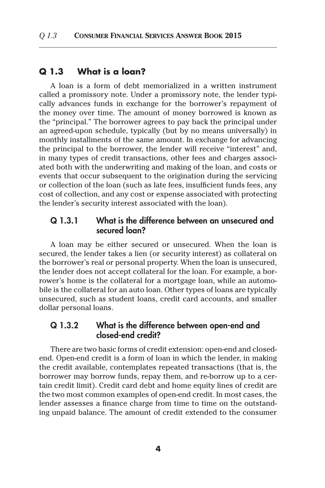#### **Q 1.3 What is a loan?**

A loan is a form of debt memorialized in a written instrument called a promissory note. Under a promissory note, the lender typically advances funds in exchange for the borrower's repayment of the money over time. The amount of money borrowed is known as the "principal." The borrower agrees to pay back the principal under an agreed-upon schedule, typically (but by no means universally) in monthly installments of the same amount. In exchange for advancing the principal to the borrower, the lender will receive "interest" and, in many types of credit transactions, other fees and charges associated both with the underwriting and making of the loan, and costs or events that occur subsequent to the origination during the servicing or collection of the loan (such as late fees, insufficient funds fees, any cost of collection, and any cost or expense associated with protecting the lender's security interest associated with the loan).

#### Q 1.3.1 What is the difference between an unsecured and secured loan?

A loan may be either secured or unsecured. When the loan is secured, the lender takes a lien (or security interest) as collateral on the borrower's real or personal property. When the loan is unsecured, the lender does not accept collateral for the loan. For example, a borrower's home is the collateral for a mortgage loan, while an automobile is the collateral for an auto loan. Other types of loans are typically unsecured, such as student loans, credit card accounts, and smaller dollar personal loans.

### Q 1.3.2 What is the difference between open-end and closed-end credit?

There are two basic forms of credit extension: open-end and closedend. Open-end credit is a form of loan in which the lender, in making the credit available, contemplates repeated transactions (that is, the borrower may borrow funds, repay them, and re-borrow up to a certain credit limit). Credit card debt and home equity lines of credit are the two most common examples of open-end credit. In most cases, the lender assesses a finance charge from time to time on the outstanding unpaid balance. The amount of credit extended to the consumer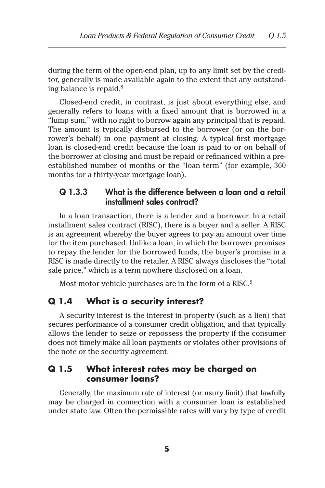during the term of the open-end plan, up to any limit set by the creditor, generally is made available again to the extent that any outstanding balance is repaid. $8$ 

Closed-end credit, in contrast, is just about everything else, and generally refers to loans with a fixed amount that is borrowed in a "lump sum," with no right to borrow again any principal that is repaid. The amount is typically disbursed to the borrower (or on the borrower's behalf) in one payment at closing. A typical first mortgage loan is closed-end credit because the loan is paid to or on behalf of the borrower at closing and must be repaid or refinanced within a preestablished number of months or the "loan term" (for example, 360 months for a thirty-year mortgage loan).

### Q 1.3.3 What is the difference between a loan and a retail installment sales contract?

In a loan transaction, there is a lender and a borrower. In a retail installment sales contract (RISC), there is a buyer and a seller. A RISC is an agreement whereby the buyer agrees to pay an amount over time for the item purchased. Unlike a loan, in which the borrower promises to repay the lender for the borrowed funds, the buyer's promise in a RISC is made directly to the retailer. A RISC always discloses the "total sale price," which is a term nowhere disclosed on a loan.

Most motor vehicle purchases are in the form of a RISC.<sup>9</sup>

### **Q 1.4 What is a security interest?**

A security interest is the interest in property (such as a lien) that secures performance of a consumer credit obligation, and that typically allows the lender to seize or repossess the property if the consumer does not timely make all loan payments or violates other provisions of the note or the security agreement.

### **Q 1.5 What interest rates may be charged on consumer loans?**

Generally, the maximum rate of interest (or usury limit) that lawfully may be charged in connection with a consumer loan is established under state law. Often the permissible rates will vary by type of credit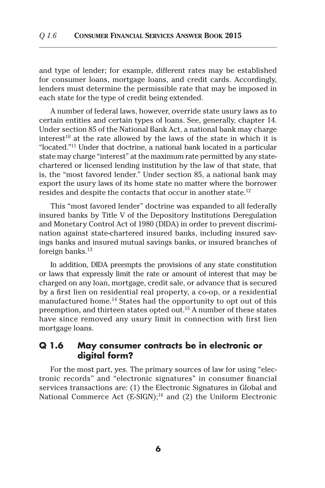and type of lender; for example, different rates may be established for consumer loans, mortgage loans, and credit cards. Accordingly, lenders must determine the permissible rate that may be imposed in each state for the type of credit being extended.

A number of federal laws, however, override state usury laws as to certain entities and certain types of loans. See, generally, chapter 14. Under section 85 of the National Bank Act, a national bank may charge interest<sup>10</sup> at the rate allowed by the laws of the state in which it is "located."11 Under that doctrine, a national bank located in a particular state may charge "interest" at the maximum rate permitted by any statechartered or licensed lending institution by the law of that state, that is, the "most favored lender." Under section 85, a national bank may export the usury laws of its home state no matter where the borrower resides and despite the contacts that occur in another state.<sup>12</sup>

This "most favored lender" doctrine was expanded to all federally insured banks by Title V of the Depository Institutions Deregulation and Monetary Control Act of 1980 (DIDA) in order to prevent discrimination against state-chartered insured banks, including insured savings banks and insured mutual savings banks, or insured branches of foreign banks.<sup>13</sup>

In addition, DIDA preempts the provisions of any state constitution or laws that expressly limit the rate or amount of interest that may be charged on any loan, mortgage, credit sale, or advance that is secured by a first lien on residential real property, a co-op, or a residential manufactured home.<sup>14</sup> States had the opportunity to opt out of this preemption, and thirteen states opted out.15 A number of these states have since removed any usury limit in connection with first lien mortgage loans.

### **Q 1.6 May consumer contracts be in electronic or digital form?**

For the most part, yes. The primary sources of law for using "electronic records" and "electronic signatures" in consumer financial services transactions are: (1) the Electronic Signatures in Global and National Commerce Act (E-SIGN);<sup>16</sup> and (2) the Uniform Electronic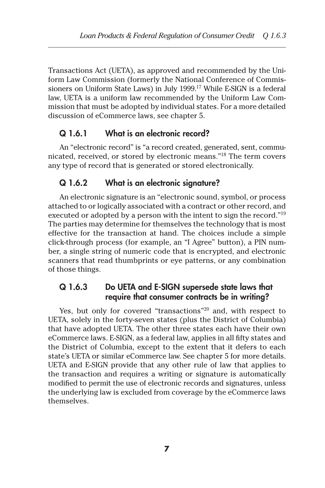Transactions Act (UETA), as approved and recommended by the Uniform Law Commission (formerly the National Conference of Commissioners on Uniform State Laws) in July 1999.17 While E-SIGN is a federal law, UETA is a uniform law recommended by the Uniform Law Commission that must be adopted by individual states. For a more detailed discussion of eCommerce laws, see chapter 5.

# Q 1.6.1 What is an electronic record?

An "electronic record" is "a record created, generated, sent, communicated, received, or stored by electronic means."18 The term covers any type of record that is generated or stored electronically.

### Q 1.6.2 What is an electronic signature?

An electronic signature is an "electronic sound, symbol, or process attached to or logically associated with a contract or other record, and executed or adopted by a person with the intent to sign the record."19 The parties may determine for themselves the technology that is most effective for the transaction at hand. The choices include a simple click-through process (for example, an "I Agree" button), a PIN number, a single string of numeric code that is encrypted, and electronic scanners that read thumbprints or eye patterns, or any combination of those things.

### Q 1.6.3 Do UETA and E-SIGN supersede state laws that require that consumer contracts be in writing?

Yes, but only for covered "transactions"<sup>20</sup> and, with respect to UETA, solely in the forty-seven states (plus the District of Columbia) that have adopted UETA. The other three states each have their own eCommerce laws. E-SIGN, as a federal law, applies in all fifty states and the District of Columbia, except to the extent that it defers to each state's UETA or similar eCommerce law. See chapter 5 for more details. UETA and E-SIGN provide that any other rule of law that applies to the transaction and requires a writing or signature is automatically modified to permit the use of electronic records and signatures, unless the underlying law is excluded from coverage by the eCommerce laws themselves.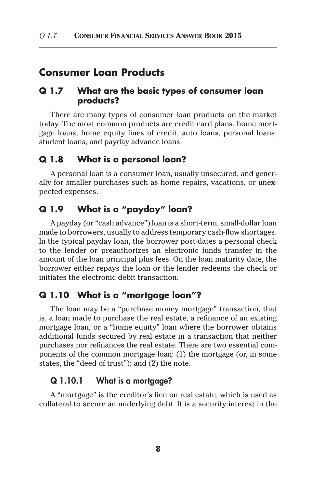# **Consumer Loan Products**

### **Q 1.7 What are the basic types of consumer loan products?**

There are many types of consumer loan products on the market today. The most common products are credit card plans, home mortgage loans, home equity lines of credit, auto loans, personal loans, student loans, and payday advance loans.

### **Q 1.8 What is a personal loan?**

A personal loan is a consumer loan, usually unsecured, and generally for smaller purchases such as home repairs, vacations, or unexpected expenses.

### **Q 1.9 What is a "payday" loan?**

A payday (or "cash advance") loan is a short-term, small-dollar loan made to borrowers, usually to address temporary cash-flow shortages. In the typical payday loan, the borrower post-dates a personal check to the lender or preauthorizes an electronic funds transfer in the amount of the loan principal plus fees. On the loan maturity date, the borrower either repays the loan or the lender redeems the check or initiates the electronic debit transaction.

### **Q 1.10 What is a "mortgage loan"?**

The loan may be a "purchase money mortgage" transaction, that is, a loan made to purchase the real estate, a refinance of an existing mortgage loan, or a "home equity" loan where the borrower obtains additional funds secured by real estate in a transaction that neither purchases nor refinances the real estate. There are two essential components of the common mortgage loan: (1) the mortgage (or, in some states, the "deed of trust"); and (2) the note.

#### Q 1.10.1 What is a mortgage?

A "mortgage" is the creditor's lien on real estate, which is used as collateral to secure an underlying debt. It is a security interest in the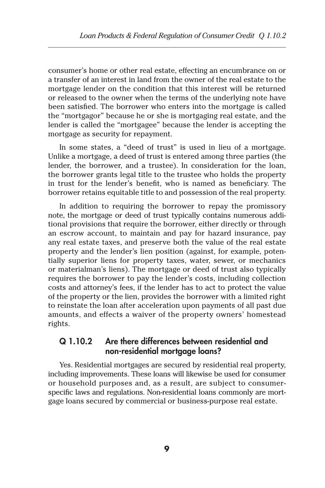consumer's home or other real estate, effecting an encumbrance on or a transfer of an interest in land from the owner of the real estate to the mortgage lender on the condition that this interest will be returned or released to the owner when the terms of the underlying note have been satisfied. The borrower who enters into the mortgage is called the "mortgagor" because he or she is mortgaging real estate, and the lender is called the "mortgagee" because the lender is accepting the mortgage as security for repayment.

In some states, a "deed of trust" is used in lieu of a mortgage. Unlike a mortgage, a deed of trust is entered among three parties (the lender, the borrower, and a trustee). In consideration for the loan, the borrower grants legal title to the trustee who holds the property in trust for the lender's benefit, who is named as beneficiary. The borrower retains equitable title to and possession of the real property.

In addition to requiring the borrower to repay the promissory note, the mortgage or deed of trust typically contains numerous additional provisions that require the borrower, either directly or through an escrow account, to maintain and pay for hazard insurance, pay any real estate taxes, and preserve both the value of the real estate property and the lender's lien position (against, for example, potentially superior liens for property taxes, water, sewer, or mechanics or materialman's liens). The mortgage or deed of trust also typically requires the borrower to pay the lender's costs, including collection costs and attorney's fees, if the lender has to act to protect the value of the property or the lien, provides the borrower with a limited right to reinstate the loan after acceleration upon payments of all past due amounts, and effects a waiver of the property owners' homestead rights.

### Q 1.10.2 Are there differences between residential and non-residential mortgage loans?

Yes. Residential mortgages are secured by residential real property, including improvements. These loans will likewise be used for consumer or household purposes and, as a result, are subject to consumerspecific laws and regulations. Non-residential loans commonly are mortgage loans secured by commercial or business-purpose real estate.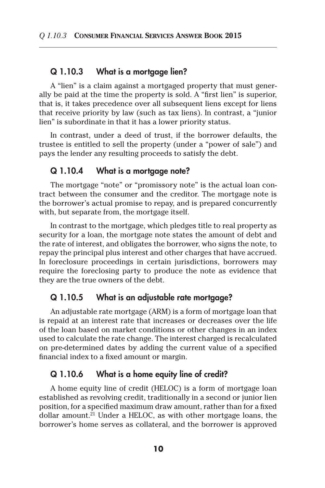### Q 1.10.3 What is a mortgage lien?

A "lien" is a claim against a mortgaged property that must generally be paid at the time the property is sold. A "first lien" is superior, that is, it takes precedence over all subsequent liens except for liens that receive priority by law (such as tax liens). In contrast, a "junior lien" is subordinate in that it has a lower priority status.

In contrast, under a deed of trust, if the borrower defaults, the trustee is entitled to sell the property (under a "power of sale") and pays the lender any resulting proceeds to satisfy the debt.

#### Q 1.10.4 What is a mortgage note?

The mortgage "note" or "promissory note" is the actual loan contract between the consumer and the creditor. The mortgage note is the borrower's actual promise to repay, and is prepared concurrently with, but separate from, the mortgage itself.

In contrast to the mortgage, which pledges title to real property as security for a loan, the mortgage note states the amount of debt and the rate of interest, and obligates the borrower, who signs the note, to repay the principal plus interest and other charges that have accrued. In foreclosure proceedings in certain jurisdictions, borrowers may require the foreclosing party to produce the note as evidence that they are the true owners of the debt.

### Q 1.10.5 What is an adjustable rate mortgage?

An adjustable rate mortgage (ARM) is a form of mortgage loan that is repaid at an interest rate that increases or decreases over the life of the loan based on market conditions or other changes in an index used to calculate the rate change. The interest charged is recalculated on pre-determined dates by adding the current value of a specified financial index to a fixed amount or margin.

#### Q 1.10.6 What is a home equity line of credit?

A home equity line of credit (HELOC) is a form of mortgage loan established as revolving credit, traditionally in a second or junior lien position, for a specified maximum draw amount, rather than for a fixed dollar amount.<sup>21</sup> Under a HELOC, as with other mortgage loans, the borrower's home serves as collateral, and the borrower is approved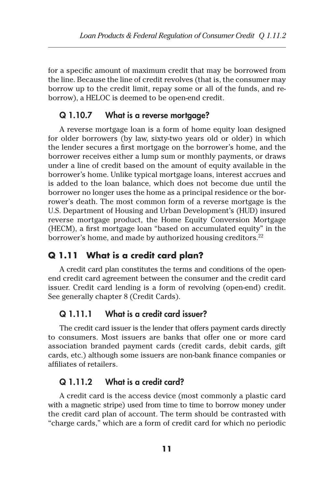for a specific amount of maximum credit that may be borrowed from the line. Because the line of credit revolves (that is, the consumer may borrow up to the credit limit, repay some or all of the funds, and reborrow), a HELOC is deemed to be open-end credit.

### Q 1.10.7 What is a reverse mortgage?

A reverse mortgage loan is a form of home equity loan designed for older borrowers (by law, sixty-two years old or older) in which the lender secures a first mortgage on the borrower's home, and the borrower receives either a lump sum or monthly payments, or draws under a line of credit based on the amount of equity available in the borrower's home. Unlike typical mortgage loans, interest accrues and is added to the loan balance, which does not become due until the borrower no longer uses the home as a principal residence or the borrower's death. The most common form of a reverse mortgage is the U.S. Department of Housing and Urban Development's (HUD) insured reverse mortgage product, the Home Equity Conversion Mortgage (HECM), a first mortgage loan "based on accumulated equity" in the borrower's home, and made by authorized housing creditors.<sup>22</sup>

### **Q 1.11 What is a credit card plan?**

A credit card plan constitutes the terms and conditions of the openend credit card agreement between the consumer and the credit card issuer. Credit card lending is a form of revolving (open-end) credit. See generally chapter 8 (Credit Cards).

### Q 1.11.1 What is a credit card issuer?

The credit card issuer is the lender that offers payment cards directly to consumers. Most issuers are banks that offer one or more card association branded payment cards (credit cards, debit cards, gift cards, etc.) although some issuers are non-bank finance companies or affiliates of retailers.

### Q 1.11.2 What is a credit card?

A credit card is the access device (most commonly a plastic card with a magnetic stripe) used from time to time to borrow money under the credit card plan of account. The term should be contrasted with "charge cards," which are a form of credit card for which no periodic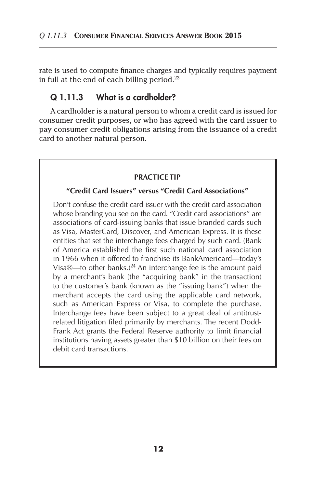rate is used to compute finance charges and typically requires payment in full at the end of each billing period. $23$ 

#### Q 1.11.3 What is a cardholder?

A cardholder is a natural person to whom a credit card is issued for consumer credit purposes, or who has agreed with the card issuer to pay consumer credit obligations arising from the issuance of a credit card to another natural person.

#### **PRACTICE TIP**

#### **"Credit Card Issuers" versus "Credit Card Associations"**

Don't confuse the credit card issuer with the credit card association whose branding you see on the card. "Credit card associations" are associations of card-issuing banks that issue branded cards such as Visa, MasterCard, Discover, and American Express. It is these entities that set the interchange fees charged by such card. (Bank of America established the first such national card association in 1966 when it offered to franchise its BankAmericard—today's Visa $\mathbb{R}$ —to other banks.)<sup>24</sup> An interchange fee is the amount paid by a merchant's bank (the "acquiring bank" in the transaction) to the customer's bank (known as the "issuing bank") when the merchant accepts the card using the applicable card network, such as American Express or Visa, to complete the purchase. Interchange fees have been subject to a great deal of antitrustrelated litigation filed primarily by merchants. The recent Dodd-Frank Act grants the Federal Reserve authority to limit financial institutions having assets greater than \$10 billion on their fees on debit card transactions.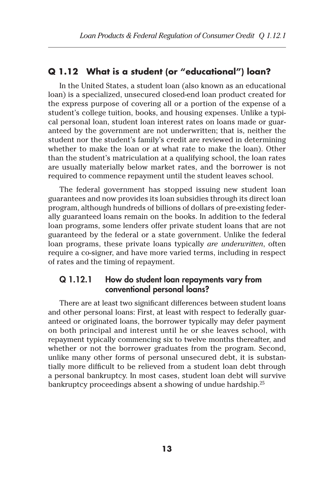## **Q 1.12 What is a student (or "educational") loan?**

In the United States, a student loan (also known as an educational loan) is a specialized, unsecured closed-end loan product created for the express purpose of covering all or a portion of the expense of a student's college tuition, books, and housing expenses. Unlike a typical personal loan, student loan interest rates on loans made or guaranteed by the government are not underwritten; that is, neither the student nor the student's family's credit are reviewed in determining whether to make the loan or at what rate to make the loan). Other than the student's matriculation at a qualifying school, the loan rates are usually materially below market rates, and the borrower is not required to commence repayment until the student leaves school.

The federal government has stopped issuing new student loan guarantees and now provides its loan subsidies through its direct loan program, although hundreds of billions of dollars of pre-existing federally guaranteed loans remain on the books. In addition to the federal loan programs, some lenders offer private student loans that are not guaranteed by the federal or a state government. Unlike the federal loan programs, these private loans typically *are underwritten*, often require a co-signer, and have more varied terms, including in respect of rates and the timing of repayment.

#### Q 1.12.1 How do student loan repayments vary from conventional personal loans?

There are at least two significant differences between student loans and other personal loans: First, at least with respect to federally guaranteed or originated loans, the borrower typically may defer payment on both principal and interest until he or she leaves school, with repayment typically commencing six to twelve months thereafter, and whether or not the borrower graduates from the program. Second, unlike many other forms of personal unsecured debt, it is substantially more difficult to be relieved from a student loan debt through a personal bankruptcy. In most cases, student loan debt will survive bankruptcy proceedings absent a showing of undue hardship.<sup>25</sup>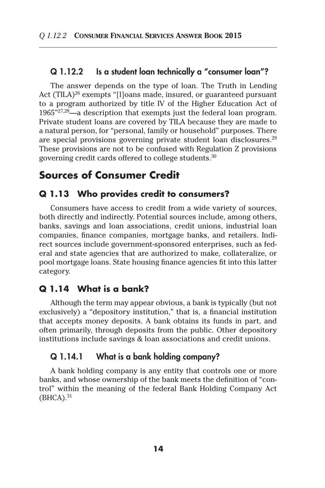### Q 1.12.2 Is a student loan technically a "consumer loan"?

The answer depends on the type of loan. The Truth in Lending Act (TILA)<sup>26</sup> exempts "[I]oans made, insured, or guaranteed pursuant to a program authorized by title IV of the Higher Education Act of 1965"27,28—a description that exempts just the federal loan program. Private student loans are covered by TILA because they are made to a natural person, for "personal, family or household" purposes. There are special provisions governing private student loan disclosures.29 These provisions are not to be confused with Regulation Z provisions governing credit cards offered to college students.30

# **Sources of Consumer Credit**

### **Q 1.13 Who provides credit to consumers?**

Consumers have access to credit from a wide variety of sources, both directly and indirectly. Potential sources include, among others, banks, savings and loan associations, credit unions, industrial loan companies, finance companies, mortgage banks, and retailers. Indirect sources include government-sponsored enterprises, such as federal and state agencies that are authorized to make, collateralize, or pool mortgage loans. State housing finance agencies fit into this latter category.

### **Q 1.14 What is a bank?**

Although the term may appear obvious, a bank is typically (but not exclusively) a "depository institution," that is, a financial institution that accepts money deposits. A bank obtains its funds in part, and often primarily, through deposits from the public. Other depository institutions include savings & loan associations and credit unions.

### Q 1.14.1 What is a bank holding company?

A bank holding company is any entity that controls one or more banks, and whose ownership of the bank meets the definition of "control" within the meaning of the federal Bank Holding Company Act  $(BHCA).<sup>31</sup>$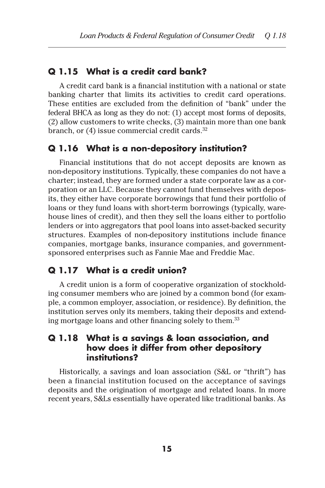### **Q 1.15 What is a credit card bank?**

A credit card bank is a financial institution with a national or state banking charter that limits its activities to credit card operations. These entities are excluded from the definition of "bank" under the federal BHCA as long as they do not: (1) accept most forms of deposits, (2) allow customers to write checks, (3) maintain more than one bank branch, or  $(4)$  issue commercial credit cards.<sup>32</sup>

### **Q 1.16 What is a non-depository institution?**

Financial institutions that do not accept deposits are known as non-depository institutions. Typically, these companies do not have a charter; instead, they are formed under a state corporate law as a corporation or an LLC. Because they cannot fund themselves with deposits, they either have corporate borrowings that fund their portfolio of loans or they fund loans with short-term borrowings (typically, warehouse lines of credit), and then they sell the loans either to portfolio lenders or into aggregators that pool loans into asset-backed security structures. Examples of non-depository institutions include finance companies, mortgage banks, insurance companies, and governmentsponsored enterprises such as Fannie Mae and Freddie Mac.

### **Q 1.17 What is a credit union?**

A credit union is a form of cooperative organization of stockholding consumer members who are joined by a common bond (for example, a common employer, association, or residence). By definition, the institution serves only its members, taking their deposits and extending mortgage loans and other financing solely to them.<sup>33</sup>

## **Q 1.18 What is a savings & loan association, and how does it differ from other depository institutions?**

Historically, a savings and loan association (S&L or "thrift") has been a financial institution focused on the acceptance of savings deposits and the origination of mortgage and related loans. In more recent years, S&Ls essentially have operated like traditional banks. As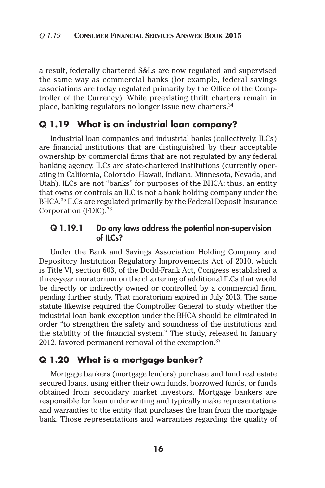a result, federally chartered S&Ls are now regulated and supervised the same way as commercial banks (for example, federal savings associations are today regulated primarily by the Office of the Comptroller of the Currency). While preexisting thrift charters remain in place, banking regulators no longer issue new charters.<sup>34</sup>

#### **Q 1.19 What is an industrial loan company?**

Industrial loan companies and industrial banks (collectively, ILCs) are financial institutions that are distinguished by their acceptable ownership by commercial firms that are not regulated by any federal banking agency. ILCs are state-chartered institutions (currently operating in California, Colorado, Hawaii, Indiana, Minnesota, Nevada, and Utah). ILCs are not "banks" for purposes of the BHCA; thus, an entity that owns or controls an ILC is not a bank holding company under the BHCA.35 ILCs are regulated primarily by the Federal Deposit Insurance Corporation (FDIC).36

#### Q 1.19.1 Do any laws address the potential non-supervision of ILCs?

Under the Bank and Savings Association Holding Company and Depository Institution Regulatory Improvements Act of 2010, which is Title VI, section 603, of the Dodd-Frank Act, Congress established a three-year moratorium on the chartering of additional ILCs that would be directly or indirectly owned or controlled by a commercial firm, pending further study. That moratorium expired in July 2013. The same statute likewise required the Comptroller General to study whether the industrial loan bank exception under the BHCA should be eliminated in order "to strengthen the safety and soundness of the institutions and the stability of the financial system." The study, released in January 2012, favored permanent removal of the exemption.<sup>37</sup>

### **Q 1.20 What is a mortgage banker?**

Mortgage bankers (mortgage lenders) purchase and fund real estate secured loans, using either their own funds, borrowed funds, or funds obtained from secondary market investors. Mortgage bankers are responsible for loan underwriting and typically make representations and warranties to the entity that purchases the loan from the mortgage bank. Those representations and warranties regarding the quality of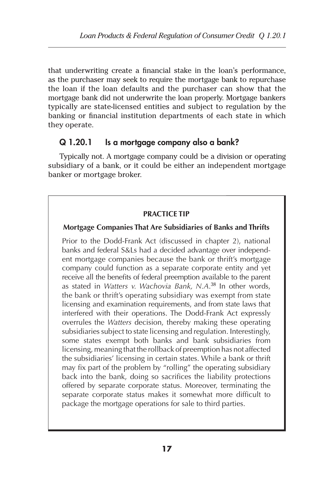that underwriting create a financial stake in the loan's performance, as the purchaser may seek to require the mortgage bank to repurchase the loan if the loan defaults and the purchaser can show that the mortgage bank did not underwrite the loan properly. Mortgage bankers typically are state-licensed entities and subject to regulation by the banking or financial institution departments of each state in which they operate.

# Q 1.20.1 Is a mortgage company also a bank?

Typically not. A mortgage company could be a division or operating subsidiary of a bank, or it could be either an independent mortgage banker or mortgage broker.

#### **PRACTICE TIP**

#### **Mortgage Companies That Are Subsidiaries of Banks and Thrifts**

Prior to the Dodd-Frank Act (discussed in chapter 2), national banks and federal S&Ls had a decided advantage over independent mortgage companies because the bank or thrift's mortgage company could function as a separate corporate entity and yet receive all the benefits of federal preemption available to the parent as stated in *Watters v. Wachovia Bank, N.A*. <sup>38</sup> In other words, the bank or thrift's operating subsidiary was exempt from state licensing and examination requirements, and from state laws that interfered with their operations. The Dodd-Frank Act expressly overrules the *Watters* decision, thereby making these operating subsidiaries subject to state licensing and regulation. Interestingly, some states exempt both banks and bank subsidiaries from licensing, meaning that the rollback of preemption has not affected the subsidiaries' licensing in certain states. While a bank or thrift may fix part of the problem by "rolling" the operating subsidiary back into the bank, doing so sacrifices the liability protections offered by separate corporate status. Moreover, terminating the separate corporate status makes it somewhat more difficult to package the mortgage operations for sale to third parties.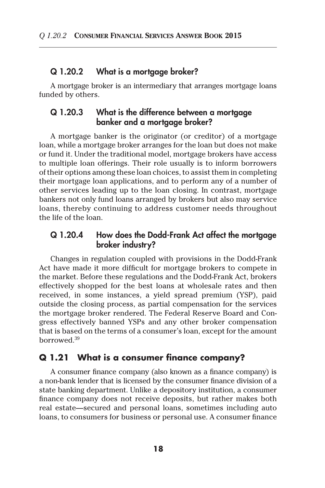#### Q 1.20.2 What is a mortgage broker?

A mortgage broker is an intermediary that arranges mortgage loans funded by others.

### Q 1.20.3 What is the difference between a mortgage banker and a mortgage broker?

A mortgage banker is the originator (or creditor) of a mortgage loan, while a mortgage broker arranges for the loan but does not make or fund it. Under the traditional model, mortgage brokers have access to multiple loan offerings. Their role usually is to inform borrowers of their options among these loan choices, to assist them in completing their mortgage loan applications, and to perform any of a number of other services leading up to the loan closing. In contrast, mortgage bankers not only fund loans arranged by brokers but also may service loans, thereby continuing to address customer needs throughout the life of the loan.

### Q 1.20.4 How does the Dodd-Frank Act affect the mortgage broker industry?

Changes in regulation coupled with provisions in the Dodd-Frank Act have made it more difficult for mortgage brokers to compete in the market. Before these regulations and the Dodd-Frank Act, brokers effectively shopped for the best loans at wholesale rates and then received, in some instances, a yield spread premium (YSP), paid outside the closing process, as partial compensation for the services the mortgage broker rendered. The Federal Reserve Board and Congress effectively banned YSPs and any other broker compensation that is based on the terms of a consumer's loan, except for the amount borrowed.39

#### **Q 1.21 What is a consumer finance company?**

A consumer finance company (also known as a finance company) is a non-bank lender that is licensed by the consumer finance division of a state banking department. Unlike a depository institution, a consumer finance company does not receive deposits, but rather makes both real estate—secured and personal loans, sometimes including auto loans, to consumers for business or personal use. A consumer finance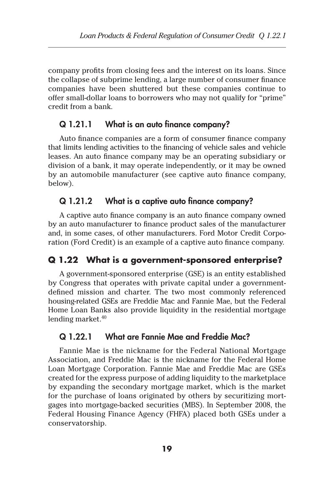company profits from closing fees and the interest on its loans. Since the collapse of subprime lending, a large number of consumer finance companies have been shuttered but these companies continue to offer small-dollar loans to borrowers who may not qualify for "prime" credit from a bank.

### Q 1.21.1 What is an auto finance company?

Auto finance companies are a form of consumer finance company that limits lending activities to the financing of vehicle sales and vehicle leases. An auto finance company may be an operating subsidiary or division of a bank, it may operate independently, or it may be owned by an automobile manufacturer (see captive auto finance company, below).

### Q 1.21.2 What is a captive auto finance company?

A captive auto finance company is an auto finance company owned by an auto manufacturer to finance product sales of the manufacturer and, in some cases, of other manufacturers. Ford Motor Credit Corporation (Ford Credit) is an example of a captive auto finance company.

# **Q 1.22 What is a government-sponsored enterprise?**

A government-sponsored enterprise (GSE) is an entity established by Congress that operates with private capital under a governmentdefined mission and charter. The two most commonly referenced housing-related GSEs are Freddie Mac and Fannie Mae, but the Federal Home Loan Banks also provide liquidity in the residential mortgage lending market. $40$ 

### Q 1.22.1 What are Fannie Mae and Freddie Mac?

Fannie Mae is the nickname for the Federal National Mortgage Association, and Freddie Mac is the nickname for the Federal Home Loan Mortgage Corporation. Fannie Mae and Freddie Mac are GSEs created for the express purpose of adding liquidity to the marketplace by expanding the secondary mortgage market, which is the market for the purchase of loans originated by others by securitizing mortgages into mortgage-backed securities (MBS). In September 2008, the Federal Housing Finance Agency (FHFA) placed both GSEs under a conservatorship.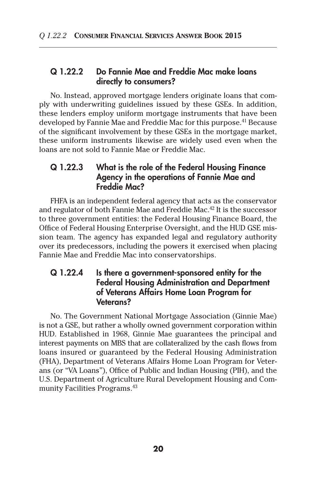### Q 1.22.2 Do Fannie Mae and Freddie Mac make loans directly to consumers?

No. Instead, approved mortgage lenders originate loans that comply with underwriting guidelines issued by these GSEs. In addition, these lenders employ uniform mortgage instruments that have been developed by Fannie Mae and Freddie Mac for this purpose.<sup>41</sup> Because of the significant involvement by these GSEs in the mortgage market, these uniform instruments likewise are widely used even when the loans are not sold to Fannie Mae or Freddie Mac.

### Q 1.22.3 What is the role of the Federal Housing Finance Agency in the operations of Fannie Mae and Freddie Mac?

FHFA is an independent federal agency that acts as the conservator and regulator of both Fannie Mae and Freddie Mac.<sup>42</sup> It is the successor to three government entities: the Federal Housing Finance Board, the Office of Federal Housing Enterprise Oversight, and the HUD GSE mission team. The agency has expanded legal and regulatory authority over its predecessors, including the powers it exercised when placing Fannie Mae and Freddie Mac into conservatorships.

### Q 1.22.4 Is there a government-sponsored entity for the Federal Housing Administration and Department of Veterans Affairs Home Loan Program for Veterans?

No. The Government National Mortgage Association (Ginnie Mae) is not a GSE, but rather a wholly owned government corporation within HUD. Established in 1968, Ginnie Mae guarantees the principal and interest payments on MBS that are collateralized by the cash flows from loans insured or guaranteed by the Federal Housing Administration (FHA), Department of Veterans Affairs Home Loan Program for Veterans (or "VA Loans"), Office of Public and Indian Housing (PIH), and the U.S. Department of Agriculture Rural Development Housing and Community Facilities Programs.43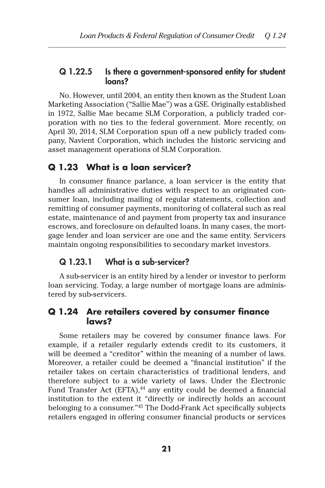#### Q 1.22.5 Is there a government-sponsored entity for student logns?

No. However, until 2004, an entity then known as the Student Loan Marketing Association ("Sallie Mae") was a GSE. Originally established in 1972, Sallie Mae became SLM Corporation, a publicly traded corporation with no ties to the federal government. More recently, on April 30, 2014, SLM Corporation spun off a new publicly traded company, Navient Corporation, which includes the historic servicing and asset management operations of SLM Corporation.

# **Q 1.23 What is a loan servicer?**

In consumer finance parlance, a loan servicer is the entity that handles all administrative duties with respect to an originated consumer loan, including mailing of regular statements, collection and remitting of consumer payments, monitoring of collateral such as real estate, maintenance of and payment from property tax and insurance escrows, and foreclosure on defaulted loans. In many cases, the mortgage lender and loan servicer are one and the same entity. Servicers maintain ongoing responsibilities to secondary market investors.

#### Q 1.23.1 What is a sub-servicer?

A sub-servicer is an entity hired by a lender or investor to perform loan servicing. Today, a large number of mortgage loans are administered by sub-servicers.

#### **Q 1.24 Are retailers covered by consumer finance laws?**

Some retailers may be covered by consumer finance laws. For example, if a retailer regularly extends credit to its customers, it will be deemed a "creditor" within the meaning of a number of laws. Moreover, a retailer could be deemed a "financial institution" if the retailer takes on certain characteristics of traditional lenders, and therefore subject to a wide variety of laws. Under the Electronic Fund Transfer Act (EFTA),<sup>44</sup> any entity could be deemed a financial institution to the extent it "directly or indirectly holds an account belonging to a consumer."45 The Dodd-Frank Act specifically subjects retailers engaged in offering consumer financial products or services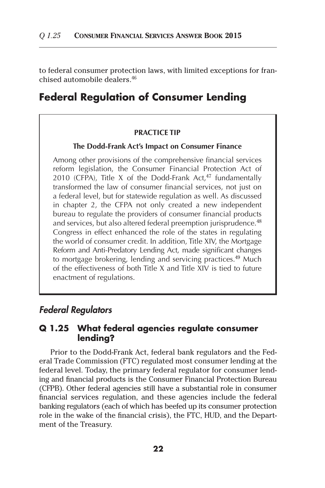to federal consumer protection laws, with limited exceptions for franchised automobile dealers.46

# **Federal Regulation of Consumer Lending**

#### **PRACTICE TIP**

#### **The Dodd-Frank Act's Impact on Consumer Finance**

Among other provisions of the comprehensive financial services reform legislation, the Consumer Financial Protection Act of 2010 (CFPA), Title X of the Dodd-Frank Act, $47$  fundamentally transformed the law of consumer financial services, not just on a federal level, but for statewide regulation as well. As discussed in chapter 2, the CFPA not only created a new independent bureau to regulate the providers of consumer financial products and services, but also altered federal preemption jurisprudence.<sup>48</sup> Congress in effect enhanced the role of the states in regulating the world of consumer credit. In addition, Title XIV, the Mortgage Reform and Anti-Predatory Lending Act, made significant changes to mortgage brokering, lending and servicing practices.<sup>49</sup> Much of the effectiveness of both Title X and Title XIV is tied to future enactment of regulations.

### *Federal Regulators*

#### **Q 1.25 What federal agencies regulate consumer lending?**

Prior to the Dodd-Frank Act, federal bank regulators and the Federal Trade Commission (FTC) regulated most consumer lending at the federal level. Today, the primary federal regulator for consumer lending and financial products is the Consumer Financial Protection Bureau (CFPB). Other federal agencies still have a substantial role in consumer financial services regulation, and these agencies include the federal banking regulators (each of which has beefed up its consumer protection role in the wake of the financial crisis), the FTC, HUD, and the Department of the Treasury.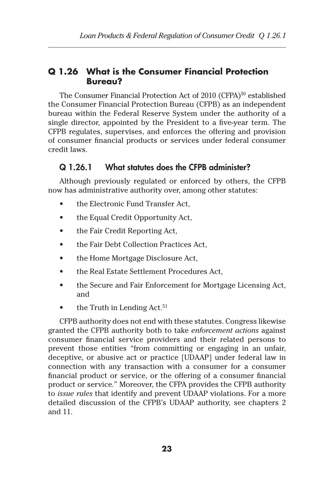# **Q 1.26 What is the Consumer Financial Protection Bureau?**

The Consumer Financial Protection Act of 2010 (CFPA)<sup>50</sup> established the Consumer Financial Protection Bureau (CFPB) as an independent bureau within the Federal Reserve System under the authority of a single director, appointed by the President to a five-year term. The CFPB regulates, supervises, and enforces the offering and provision of consumer financial products or services under federal consumer credit laws.

# Q 1.26.1 What statutes does the CFPB administer?

Although previously regulated or enforced by others, the CFPB now has administrative authority over, among other statutes:

- the Electronic Fund Transfer Act.
- the Equal Credit Opportunity Act,
- the Fair Credit Reporting Act,
- the Fair Debt Collection Practices Act,
- the Home Mortgage Disclosure Act,
- the Real Estate Settlement Procedures Act,
- the Secure and Fair Enforcement for Mortgage Licensing Act, and
- the Truth in Lending Act.<sup>51</sup>

CFPB authority does not end with these statutes. Congress likewise granted the CFPB authority both to take *enforcement actions* against consumer financial service providers and their related persons to prevent those entities "from committing or engaging in an unfair, deceptive, or abusive act or practice [UDAAP] under federal law in connection with any transaction with a consumer for a consumer financial product or service, or the offering of a consumer financial product or service." Moreover, the CFPA provides the CFPB authority to *issue rules* that identify and prevent UDAAP violations. For a more detailed discussion of the CFPB's UDAAP authority, see chapters 2 and 11.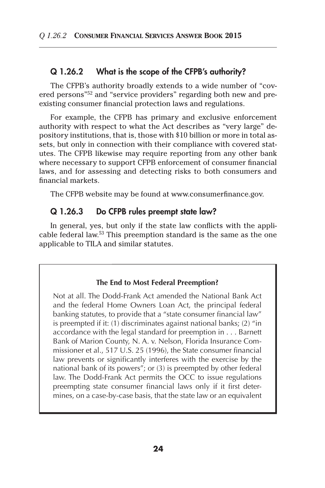### Q 1.26.2 What is the scope of the CFPB's authority?

The CFPB's authority broadly extends to a wide number of "covered persons"52 and "service providers" regarding both new and preexisting consumer financial protection laws and regulations.

For example, the CFPB has primary and exclusive enforcement authority with respect to what the Act describes as "very large" depository institutions, that is, those with \$10 billion or more in total assets, but only in connection with their compliance with covered statutes. The CFPB likewise may require reporting from any other bank where necessary to support CFPB enforcement of consumer financial laws, and for assessing and detecting risks to both consumers and financial markets.

The CFPB website may be found at www.consumerfinance.gov.

### Q 1.26.3 Do CFPB rules preempt state law?

In general, yes, but only if the state law conflicts with the applicable federal law.53 This preemption standard is the same as the one applicable to TILA and similar statutes.

#### **The End to Most Federal Preemption?**

Not at all. The Dodd-Frank Act amended the National Bank Act and the federal Home Owners Loan Act, the principal federal banking statutes, to provide that a "state consumer financial law" is preempted if it: (1) discriminates against national banks; (2) "in accordance with the legal standard for preemption in . . . Barnett Bank of Marion County, N. A. v. Nelson, Florida Insurance Commissioner et al., 517 U.S. 25 (1996), the State consumer financial law prevents or significantly interferes with the exercise by the national bank of its powers"; or (3) is preempted by other federal law. The Dodd-Frank Act permits the OCC to issue regulations preempting state consumer financial laws only if it first determines, on a case-by-case basis, that the state law or an equivalent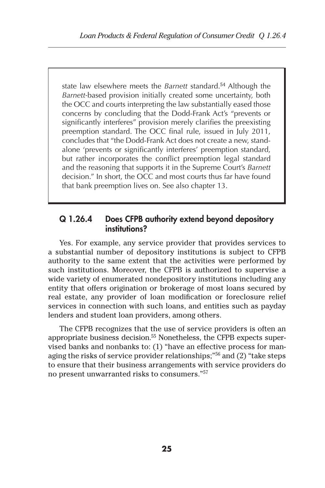state law elsewhere meets the *Barnett* standard.<sup>54</sup> Although the *Barnett-*based provision initially created some uncertainty, both the OCC and courts interpreting the law substantially eased those concerns by concluding that the Dodd-Frank Act's "prevents or significantly interferes" provision merely clarifies the preexisting preemption standard. The OCC final rule, issued in July 2011, concludes that "the Dodd-Frank Act does not create a new, standalone 'prevents or significantly interferes' preemption standard, but rather incorporates the conflict preemption legal standard and the reasoning that supports it in the Supreme Court's *Barnett* decision." In short, the OCC and most courts thus far have found that bank preemption lives on. See also chapter 13.

### Q 1.26.4 Does CFPB authority extend beyond depository institutions?

Yes. For example, any service provider that provides services to a substantial number of depository institutions is subject to CFPB authority to the same extent that the activities were performed by such institutions. Moreover, the CFPB is authorized to supervise a wide variety of enumerated nondepository institutions including any entity that offers origination or brokerage of most loans secured by real estate, any provider of loan modification or foreclosure relief services in connection with such loans, and entities such as payday lenders and student loan providers, among others.

The CFPB recognizes that the use of service providers is often an appropriate business decision.<sup>55</sup> Nonetheless, the CFPB expects supervised banks and nonbanks to: (1) "have an effective process for managing the risks of service provider relationships;"56 and (2) "take steps to ensure that their business arrangements with service providers do no present unwarranted risks to consumers."57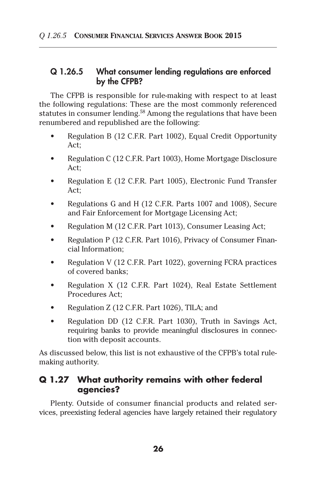### Q 1.26.5 What consumer lending regulations are enforced by the CFPB?

The CFPB is responsible for rule-making with respect to at least the following regulations: These are the most commonly referenced statutes in consumer lending.<sup>58</sup> Among the regulations that have been renumbered and republished are the following:

- Regulation B (12 C.F.R. Part 1002), Equal Credit Opportunity  $Art$
- Regulation C (12 C.F.R. Part 1003), Home Mortgage Disclosure  $Art$
- Regulation E (12 C.F.R. Part 1005), Electronic Fund Transfer Act;
- Regulations G and H (12 C.F.R. Parts 1007 and 1008), Secure and Fair Enforcement for Mortgage Licensing Act;
- Regulation M (12 C.F.R. Part 1013), Consumer Leasing Act;
- Regulation P (12 C.F.R. Part 1016), Privacy of Consumer Financial Information;
- Regulation V (12 C.F.R. Part 1022), governing FCRA practices of covered banks;
- Regulation X (12 C.F.R. Part 1024), Real Estate Settlement Procedures Act;
- Regulation  $Z$  (12 C.F.R. Part 1026), TILA; and
- Regulation DD (12 C.F.R. Part 1030), Truth in Savings Act, requiring banks to provide meaningful disclosures in connection with deposit accounts.

As discussed below, this list is not exhaustive of the CFPB's total rulemaking authority.

# **Q 1.27 What authority remains with other federal agencies?**

Plenty. Outside of consumer financial products and related services, preexisting federal agencies have largely retained their regulatory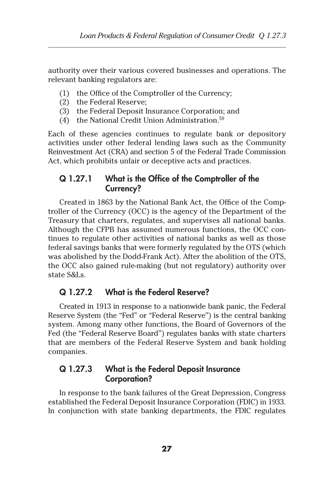authority over their various covered businesses and operations. The relevant banking regulators are:

- (1) the Office of the Comptroller of the Currency;
- (2) the Federal Reserve;
- (3) the Federal Deposit Insurance Corporation; and
- (4) the National Credit Union Administration.<sup>59</sup>

Each of these agencies continues to regulate bank or depository activities under other federal lending laws such as the Community Reinvestment Act (CRA) and section 5 of the Federal Trade Commission Act, which prohibits unfair or deceptive acts and practices.

## Q 1.27.1 What is the Office of the Comptroller of the Currency?

Created in 1863 by the National Bank Act, the Office of the Comptroller of the Currency (OCC) is the agency of the Department of the Treasury that charters, regulates, and supervises all national banks. Although the CFPB has assumed numerous functions, the OCC continues to regulate other activities of national banks as well as those federal savings banks that were formerly regulated by the OTS (which was abolished by the Dodd-Frank Act). After the abolition of the OTS, the OCC also gained rule-making (but not regulatory) authority over state S&Ls.

### Q 1.27.2 What is the Federal Reserve?

Created in 1913 in response to a nationwide bank panic, the Federal Reserve System (the "Fed" or "Federal Reserve") is the central banking system. Among many other functions, the Board of Governors of the Fed (the "Federal Reserve Board") regulates banks with state charters that are members of the Federal Reserve System and bank holding companies.

### Q 1.27.3 What is the Federal Deposit Insurance Corporation?

In response to the bank failures of the Great Depression, Congress established the Federal Deposit Insurance Corporation (FDIC) in 1933. In conjunction with state banking departments, the FDIC regulates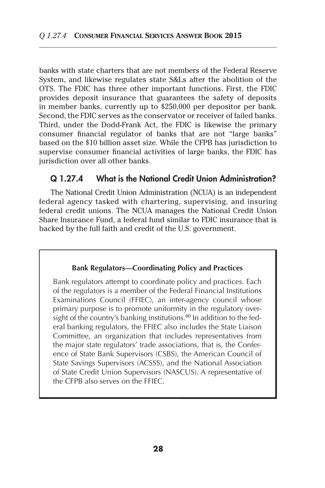banks with state charters that are not members of the Federal Reserve System, and likewise regulates state S&Ls after the abolition of the OTS. The FDIC has three other important functions. First, the FDIC provides deposit insurance that guarantees the safety of deposits in member banks, currently up to \$250,000 per depositor per bank. Second, the FDIC serves as the conservator or receiver of failed banks. Third, under the Dodd-Frank Act, the FDIC is likewise the primary consumer financial regulator of banks that are not "large banks" based on the \$10 billion asset size. While the CFPB has jurisdiction to supervise consumer financial activities of large banks, the FDIC has jurisdiction over all other banks.

### Q 1.27.4 What is the National Credit Union Administration?

The National Credit Union Administration (NCUA) is an independent federal agency tasked with chartering, supervising, and insuring federal credit unions. The NCUA manages the National Credit Union Share Insurance Fund, a federal fund similar to FDIC insurance that is backed by the full faith and credit of the U.S. government.

#### **Bank Regulators—Coordinating Policy and Practices**

Bank regulators attempt to coordinate policy and practices. Each of the regulators is a member of the Federal Financial Institutions Examinations Council (FFIEC), an inter-agency council whose primary purpose is to promote uniformity in the regulatory oversight of the country's banking institutions. $60$  In addition to the federal banking regulators, the FFIEC also includes the State Liaison Committee, an organization that includes representatives from the major state regulators' trade associations, that is, the Conference of State Bank Supervisors (CSBS), the American Council of State Savings Supervisors (ACSSS), and the National Association of State Credit Union Supervisors (NASCUS). A representative of the CFPB also serves on the FFIEC.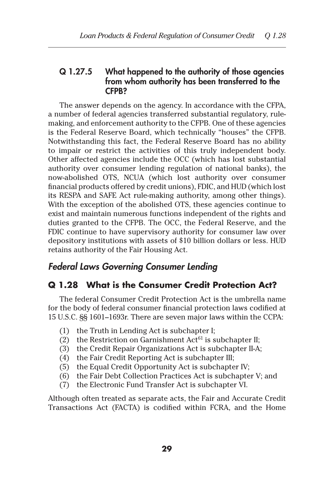### Q 1.27.5 What happened to the authority of those agencies from whom authority has been transferred to the CFPB?

The answer depends on the agency. In accordance with the CFPA, a number of federal agencies transferred substantial regulatory, rulemaking, and enforcement authority to the CFPB. One of these agencies is the Federal Reserve Board, which technically "houses" the CFPB. Notwithstanding this fact, the Federal Reserve Board has no ability to impair or restrict the activities of this truly independent body. Other affected agencies include the OCC (which has lost substantial authority over consumer lending regulation of national banks), the now-abolished OTS, NCUA (which lost authority over consumer financial products offered by credit unions), FDIC, and HUD (which lost its RESPA and SAFE Act rule-making authority, among other things). With the exception of the abolished OTS, these agencies continue to exist and maintain numerous functions independent of the rights and duties granted to the CFPB. The OCC, the Federal Reserve, and the FDIC continue to have supervisory authority for consumer law over depository institutions with assets of \$10 billion dollars or less. HUD retains authority of the Fair Housing Act.

# *Federal Laws Governing Consumer Lending*

# **Q 1.28 What is the Consumer Credit Protection Act?**

The federal Consumer Credit Protection Act is the umbrella name for the body of federal consumer financial protection laws codified at 15 U.S.C. §§ 1601–1693r. There are seven major laws within the CCPA:

- (1) the Truth in Lending Act is subchapter I;
- (2) the Restriction on Garnishment  $Act^{61}$  is subchapter II;
- (3) the Credit Repair Organizations Act is subchapter II-A;
- (4) the Fair Credit Reporting Act is subchapter III;
- (5) the Equal Credit Opportunity Act is subchapter IV;
- (6) the Fair Debt Collection Practices Act is subchapter V; and
- (7) the Electronic Fund Transfer Act is subchapter VI.

Although often treated as separate acts, the Fair and Accurate Credit Transactions Act (FACTA) is codified within FCRA, and the Home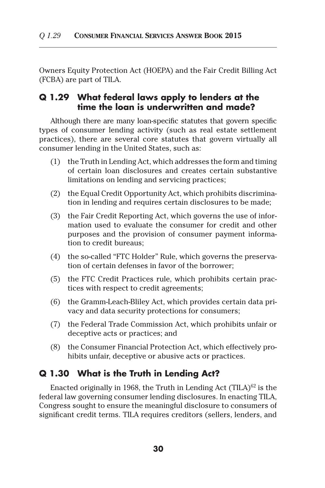Owners Equity Protection Act (HOEPA) and the Fair Credit Billing Act (FCBA) are part of TILA.

### **Q 1.29 What federal laws apply to lenders at the time the loan is underwritten and made?**

Although there are many loan-specific statutes that govern specific types of consumer lending activity (such as real estate settlement practices), there are several core statutes that govern virtually all consumer lending in the United States, such as:

- (1) the Truth in Lending Act, which addresses the form and timing of certain loan disclosures and creates certain substantive limitations on lending and servicing practices;
- (2) the Equal Credit Opportunity Act, which prohibits discrimination in lending and requires certain disclosures to be made;
- (3) the Fair Credit Reporting Act, which governs the use of information used to evaluate the consumer for credit and other purposes and the provision of consumer payment information to credit bureaus;
- (4) the so-called "FTC Holder" Rule, which governs the preservation of certain defenses in favor of the borrower;
- (5) the FTC Credit Practices rule, which prohibits certain practices with respect to credit agreements;
- (6) the Gramm-Leach-Bliley Act, which provides certain data privacy and data security protections for consumers;
- (7) the Federal Trade Commission Act, which prohibits unfair or deceptive acts or practices; and
- (8) the Consumer Financial Protection Act, which effectively prohibits unfair, deceptive or abusive acts or practices.

### **Q 1.30 What is the Truth in Lending Act?**

Enacted originally in 1968, the Truth in Lending Act (TILA)<sup>62</sup> is the federal law governing consumer lending disclosures. In enacting TILA, Congress sought to ensure the meaningful disclosure to consumers of significant credit terms. TILA requires creditors (sellers, lenders, and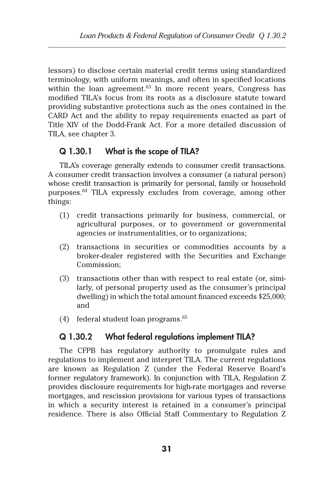lessors) to disclose certain material credit terms using standardized terminology, with uniform meanings, and often in specified locations within the loan agreement. $63$  In more recent years, Congress has modified TILA's focus from its roots as a disclosure statute toward providing substantive protections such as the ones contained in the CARD Act and the ability to repay requirements enacted as part of Title XIV of the Dodd-Frank Act. For a more detailed discussion of TILA, see chapter 3.

### Q 1.30.1 What is the scope of TILA?

TILA's coverage generally extends to consumer credit transactions. A consumer credit transaction involves a consumer (a natural person) whose credit transaction is primarily for personal, family or household purposes.64 TILA expressly excludes from coverage, among other things:

- (1) credit transactions primarily for business, commercial, or agricultural purposes, or to government or governmental agencies or instrumentalities, or to organizations;
- (2) transactions in securities or commodities accounts by a broker-dealer registered with the Securities and Exchange Commission;
- (3) transactions other than with respect to real estate (or, similarly, of personal property used as the consumer's principal dwelling) in which the total amount financed exceeds \$25,000; and
- (4) federal student loan programs. $65$

### Q 1.30.2 What federal regulations implement TILA?

The CFPB has regulatory authority to promulgate rules and regulations to implement and interpret TILA. The current regulations are known as Regulation Z (under the Federal Reserve Board's former regulatory framework). In conjunction with TILA, Regulation Z provides disclosure requirements for high-rate mortgages and reverse mortgages, and rescission provisions for various types of transactions in which a security interest is retained in a consumer's principal residence. There is also Official Staff Commentary to Regulation Z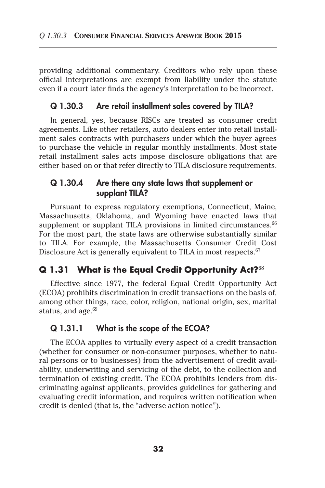providing additional commentary. Creditors who rely upon these official interpretations are exempt from liability under the statute even if a court later finds the agency's interpretation to be incorrect.

#### Q 1.30.3 Are retail installment sales covered by TILA?

In general, yes, because RISCs are treated as consumer credit agreements. Like other retailers, auto dealers enter into retail installment sales contracts with purchasers under which the buyer agrees to purchase the vehicle in regular monthly installments. Most state retail installment sales acts impose disclosure obligations that are either based on or that refer directly to TILA disclosure requirements.

### Q 1.30.4 Are there any state laws that supplement or supplant TILA?

Pursuant to express regulatory exemptions, Connecticut, Maine, Massachusetts, Oklahoma, and Wyoming have enacted laws that supplement or supplant TILA provisions in limited circumstances.<sup>66</sup> For the most part, the state laws are otherwise substantially similar to TILA. For example, the Massachusetts Consumer Credit Cost Disclosure Act is generally equivalent to TILA in most respects.<sup>67</sup>

## **Q 1.31 What is the Equal Credit Opportunity Act?**<sup>68</sup>

Effective since 1977, the federal Equal Credit Opportunity Act (ECOA) prohibits discrimination in credit transactions on the basis of, among other things, race, color, religion, national origin, sex, marital status, and age. $69$ 

### Q 1.31.1 What is the scope of the ECOA?

The ECOA applies to virtually every aspect of a credit transaction (whether for consumer or non-consumer purposes, whether to natural persons or to businesses) from the advertisement of credit availability, underwriting and servicing of the debt, to the collection and termination of existing credit. The ECOA prohibits lenders from discriminating against applicants, provides guidelines for gathering and evaluating credit information, and requires written notification when credit is denied (that is, the "adverse action notice").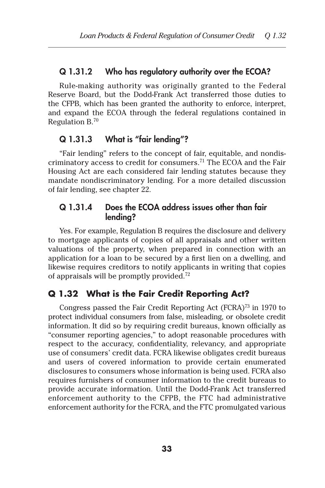#### Q 1.31.2 Who has regulatory authority over the ECOA?

Rule-making authority was originally granted to the Federal Reserve Board, but the Dodd-Frank Act transferred those duties to the CFPB, which has been granted the authority to enforce, interpret, and expand the ECOA through the federal regulations contained in Regulation B.70

### Q 1.31.3 What is "fair lending"?

"Fair lending" refers to the concept of fair, equitable, and nondiscriminatory access to credit for consumers.<sup>71</sup> The ECOA and the Fair Housing Act are each considered fair lending statutes because they mandate nondiscriminatory lending. For a more detailed discussion of fair lending, see chapter 22.

### Q 1.31.4 Does the ECOA address issues other than fair lending?

Yes. For example, Regulation B requires the disclosure and delivery to mortgage applicants of copies of all appraisals and other written valuations of the property, when prepared in connection with an application for a loan to be secured by a first lien on a dwelling, and likewise requires creditors to notify applicants in writing that copies of appraisals will be promptly provided.72

### **Q 1.32 What is the Fair Credit Reporting Act?**

Congress passed the Fair Credit Reporting Act (FCRA)<sup>73</sup> in 1970 to protect individual consumers from false, misleading, or obsolete credit information. It did so by requiring credit bureaus, known officially as "consumer reporting agencies," to adopt reasonable procedures with respect to the accuracy, confidentiality, relevancy, and appropriate use of consumers' credit data. FCRA likewise obligates credit bureaus and users of covered information to provide certain enumerated disclosures to consumers whose information is being used. FCRA also requires furnishers of consumer information to the credit bureaus to provide accurate information. Until the Dodd-Frank Act transferred enforcement authority to the CFPB, the FTC had administrative enforcement authority for the FCRA, and the FTC promulgated various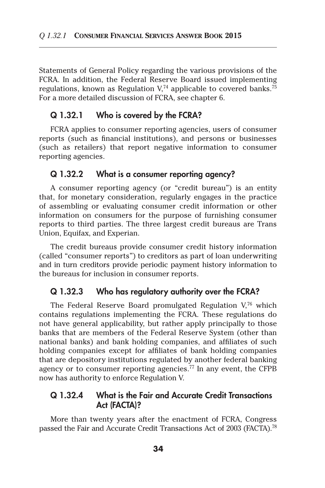Statements of General Policy regarding the various provisions of the FCRA. In addition, the Federal Reserve Board issued implementing regulations, known as Regulation  $V<sub>14</sub>$  applicable to covered banks.<sup>75</sup> For a more detailed discussion of FCRA, see chapter 6.

### Q 1.32.1 Who is covered by the FCRA?

FCRA applies to consumer reporting agencies, users of consumer reports (such as financial institutions), and persons or businesses (such as retailers) that report negative information to consumer reporting agencies.

### Q 1.32.2 What is a consumer reporting agency?

A consumer reporting agency (or "credit bureau") is an entity that, for monetary consideration, regularly engages in the practice of assembling or evaluating consumer credit information or other information on consumers for the purpose of furnishing consumer reports to third parties. The three largest credit bureaus are Trans Union, Equifax, and Experian.

The credit bureaus provide consumer credit history information (called "consumer reports") to creditors as part of loan underwriting and in turn creditors provide periodic payment history information to the bureaus for inclusion in consumer reports.

#### Q 1.32.3 Who has regulatory authority over the FCRA?

The Federal Reserve Board promulgated Regulation V,76 which contains regulations implementing the FCRA. These regulations do not have general applicability, but rather apply principally to those banks that are members of the Federal Reserve System (other than national banks) and bank holding companies, and affiliates of such holding companies except for affiliates of bank holding companies that are depository institutions regulated by another federal banking agency or to consumer reporting agencies.<sup>77</sup> In any event, the CFPB now has authority to enforce Regulation V.

### Q 1.32.4 What is the Fair and Accurate Credit Transactions Act (FACTA)?

More than twenty years after the enactment of FCRA, Congress passed the Fair and Accurate Credit Transactions Act of 2003 (FACTA).<sup>78</sup>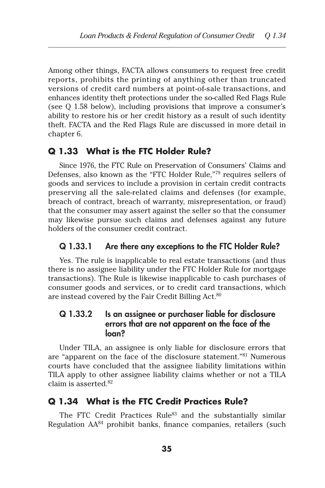Among other things, FACTA allows consumers to request free credit reports, prohibits the printing of anything other than truncated versions of credit card numbers at point-of-sale transactions, and enhances identity theft protections under the so-called Red Flags Rule (see Q 1.58 below), including provisions that improve a consumer's ability to restore his or her credit history as a result of such identity theft. FACTA and the Red Flags Rule are discussed in more detail in chapter 6.

### **Q 1.33 What is the FTC Holder Rule?**

Since 1976, the FTC Rule on Preservation of Consumers' Claims and Defenses, also known as the "FTC Holder Rule,"79 requires sellers of goods and services to include a provision in certain credit contracts preserving all the sale-related claims and defenses (for example, breach of contract, breach of warranty, misrepresentation, or fraud) that the consumer may assert against the seller so that the consumer may likewise pursue such claims and defenses against any future holders of the consumer credit contract.

#### Q 1.33.1 Are there any exceptions to the FTC Holder Rule?

Yes. The rule is inapplicable to real estate transactions (and thus there is no assignee liability under the FTC Holder Rule for mortgage transactions). The Rule is likewise inapplicable to cash purchases of consumer goods and services, or to credit card transactions, which are instead covered by the Fair Credit Billing Act.<sup>80</sup>

### Q 1.33.2 Is an assignee or purchaser liable for disclosure errors that are not apparent on the face of the loan?

Under TILA, an assignee is only liable for disclosure errors that are "apparent on the face of the disclosure statement."81 Numerous courts have concluded that the assignee liability limitations within TILA apply to other assignee liability claims whether or not a TILA claim is asserted.82

### **Q 1.34 What is the FTC Credit Practices Rule?**

The FTC Credit Practices Rule<sup>83</sup> and the substantially similar Regulation AA<sup>84</sup> prohibit banks, finance companies, retailers (such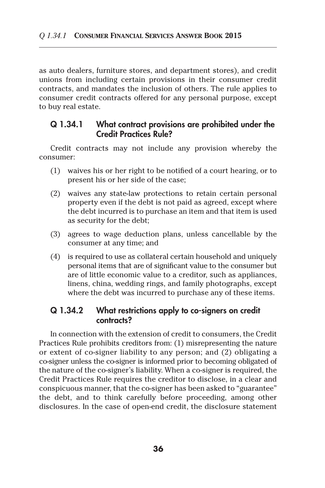as auto dealers, furniture stores, and department stores), and credit unions from including certain provisions in their consumer credit contracts, and mandates the inclusion of others. The rule applies to consumer credit contracts offered for any personal purpose, except to buy real estate.

### Q 1.34.1 What contract provisions are prohibited under the Credit Practices Rule?

Credit contracts may not include any provision whereby the consumer:

- (1) waives his or her right to be notified of a court hearing, or to present his or her side of the case;
- (2) waives any state-law protections to retain certain personal property even if the debt is not paid as agreed, except where the debt incurred is to purchase an item and that item is used as security for the debt;
- (3) agrees to wage deduction plans, unless cancellable by the consumer at any time; and
- (4) is required to use as collateral certain household and uniquely personal items that are of significant value to the consumer but are of little economic value to a creditor, such as appliances, linens, china, wedding rings, and family photographs, except where the debt was incurred to purchase any of these items.

### Q 1.34.2 What restrictions apply to co-signers on credit contracts?

In connection with the extension of credit to consumers, the Credit Practices Rule prohibits creditors from: (1) misrepresenting the nature or extent of co-signer liability to any person; and (2) obligating a co-signer unless the co-signer is informed prior to becoming obligated of the nature of the co-signer's liability. When a co-signer is required, the Credit Practices Rule requires the creditor to disclose, in a clear and conspicuous manner, that the co-signer has been asked to "guarantee" the debt, and to think carefully before proceeding, among other disclosures. In the case of open-end credit, the disclosure statement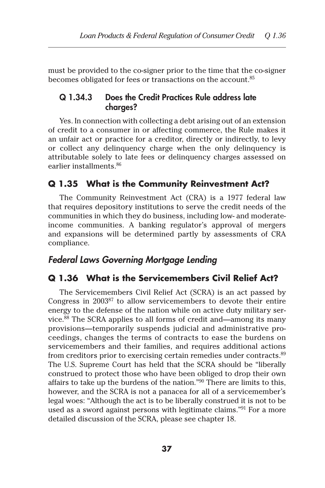must be provided to the co-signer prior to the time that the co-signer becomes obligated for fees or transactions on the account.<sup>85</sup>

### Q 1.34.3 Does the Credit Practices Rule address late charges?

Yes. In connection with collecting a debt arising out of an extension of credit to a consumer in or affecting commerce, the Rule makes it an unfair act or practice for a creditor, directly or indirectly, to levy or collect any delinquency charge when the only delinquency is attributable solely to late fees or delinquency charges assessed on earlier installments.86

### **Q 1.35 What is the Community Reinvestment Act?**

The Community Reinvestment Act (CRA) is a 1977 federal law that requires depository institutions to serve the credit needs of the communities in which they do business, including low- and moderateincome communities. A banking regulator's approval of mergers and expansions will be determined partly by assessments of CRA compliance.

# *Federal Laws Governing Mortgage Lending*

### **Q 1.36 What is the Servicemembers Civil Relief Act?**

The Servicemembers Civil Relief Act (SCRA) is an act passed by Congress in 200387 to allow servicemembers to devote their entire energy to the defense of the nation while on active duty military service.88 The SCRA applies to all forms of credit and—among its many provisions—temporarily suspends judicial and administrative proceedings, changes the terms of contracts to ease the burdens on servicemembers and their families, and requires additional actions from creditors prior to exercising certain remedies under contracts.<sup>89</sup> The U.S. Supreme Court has held that the SCRA should be "liberally construed to protect those who have been obliged to drop their own affairs to take up the burdens of the nation."90 There are limits to this, however, and the SCRA is not a panacea for all of a servicemember's legal woes: "Although the act is to be liberally construed it is not to be used as a sword against persons with legitimate claims."<sup>91</sup> For a more detailed discussion of the SCRA, please see chapter 18.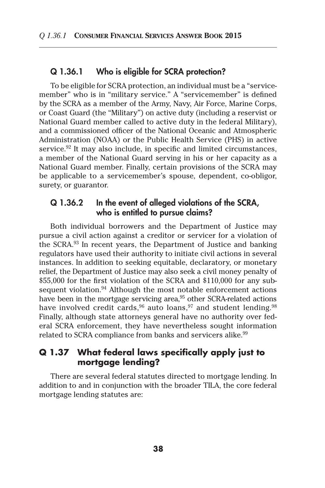#### Q 1.36.1 Who is eligible for SCRA protection?

To be eligible for SCRA protection, an individual must be a "servicemember" who is in "military service." A "servicemember" is defined by the SCRA as a member of the Army, Navy, Air Force, Marine Corps, or Coast Guard (the "Military") on active duty (including a reservist or National Guard member called to active duty in the federal Military), and a commissioned officer of the National Oceanic and Atmospheric Administration (NOAA) or the Public Health Service (PHS) in active service.<sup>92</sup> It may also include, in specific and limited circumstances, a member of the National Guard serving in his or her capacity as a National Guard member. Finally, certain provisions of the SCRA may be applicable to a servicemember's spouse, dependent, co-obligor, surety, or guarantor.

#### Q 1.36.2 In the event of alleged violations of the SCRA, who is entitled to pursue claims?

Both individual borrowers and the Department of Justice may pursue a civil action against a creditor or servicer for a violation of the SCRA.93 In recent years, the Department of Justice and banking regulators have used their authority to initiate civil actions in several instances. In addition to seeking equitable, declaratory, or monetary relief, the Department of Justice may also seek a civil money penalty of \$55,000 for the first violation of the SCRA and \$110,000 for any subsequent violation. $94$  Although the most notable enforcement actions have been in the mortgage servicing area, $95$  other SCRA-related actions have involved credit cards,  $96$  auto loans,  $97$  and student lending.  $98$ Finally, although state attorneys general have no authority over federal SCRA enforcement, they have nevertheless sought information related to SCRA compliance from banks and servicers alike.<sup>99</sup>

### **Q 1.37 What federal laws specifically apply just to mortgage lending?**

There are several federal statutes directed to mortgage lending. In addition to and in conjunction with the broader TILA, the core federal mortgage lending statutes are: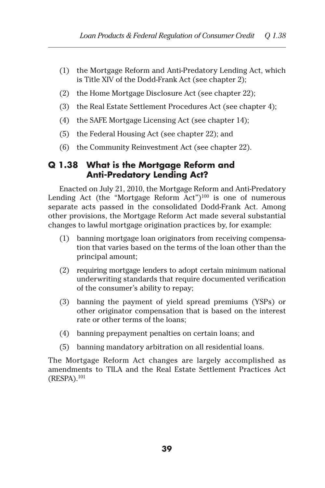- (1) the Mortgage Reform and Anti-Predatory Lending Act, which is Title XIV of the Dodd-Frank Act (see chapter 2);
- (2) the Home Mortgage Disclosure Act (see chapter 22);
- (3) the Real Estate Settlement Procedures Act (see chapter 4);
- (4) the SAFE Mortgage Licensing Act (see chapter 14);
- (5) the Federal Housing Act (see chapter 22); and
- (6) the Community Reinvestment Act (see chapter 22).

# **Q 1.38 What is the Mortgage Reform and Anti-Predatory Lending Act?**

Enacted on July 21, 2010, the Mortgage Reform and Anti-Predatory Lending Act (the "Mortgage Reform Act") $100$  is one of numerous separate acts passed in the consolidated Dodd-Frank Act. Among other provisions, the Mortgage Reform Act made several substantial changes to lawful mortgage origination practices by, for example:

- (1) banning mortgage loan originators from receiving compensation that varies based on the terms of the loan other than the principal amount;
- (2) requiring mortgage lenders to adopt certain minimum national underwriting standards that require documented verification of the consumer's ability to repay;
- (3) banning the payment of yield spread premiums (YSPs) or other originator compensation that is based on the interest rate or other terms of the loans;
- (4) banning prepayment penalties on certain loans; and
- (5) banning mandatory arbitration on all residential loans.

The Mortgage Reform Act changes are largely accomplished as amendments to TILA and the Real Estate Settlement Practices Act (RESPA).101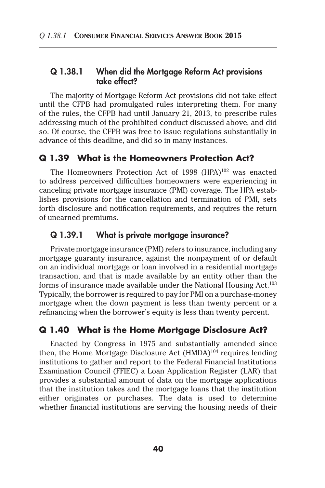#### Q 1.38.1 When did the Mortgage Reform Act provisions take effect?

The majority of Mortgage Reform Act provisions did not take effect until the CFPB had promulgated rules interpreting them. For many of the rules, the CFPB had until January 21, 2013, to prescribe rules addressing much of the prohibited conduct discussed above, and did so. Of course, the CFPB was free to issue regulations substantially in advance of this deadline, and did so in many instances.

#### **Q 1.39 What is the Homeowners Protection Act?**

The Homeowners Protection Act of 1998 (HPA)<sup>102</sup> was enacted to address perceived difficulties homeowners were experiencing in canceling private mortgage insurance (PMI) coverage. The HPA establishes provisions for the cancellation and termination of PMI, sets forth disclosure and notification requirements, and requires the return of unearned premiums.

#### Q 1.39.1 What is private mortgage insurance?

Private mortgage insurance (PMI) refers to insurance, including any mortgage guaranty insurance, against the nonpayment of or default on an individual mortgage or loan involved in a residential mortgage transaction, and that is made available by an entity other than the forms of insurance made available under the National Housing Act.<sup>103</sup> Typically, the borrower is required to pay for PMI on a purchase-money mortgage when the down payment is less than twenty percent or a refinancing when the borrower's equity is less than twenty percent.

#### **Q 1.40 What is the Home Mortgage Disclosure Act?**

Enacted by Congress in 1975 and substantially amended since then, the Home Mortgage Disclosure Act  $(HMDA)^{104}$  requires lending institutions to gather and report to the Federal Financial Institutions Examination Council (FFIEC) a Loan Application Register (LAR) that provides a substantial amount of data on the mortgage applications that the institution takes and the mortgage loans that the institution either originates or purchases. The data is used to determine whether financial institutions are serving the housing needs of their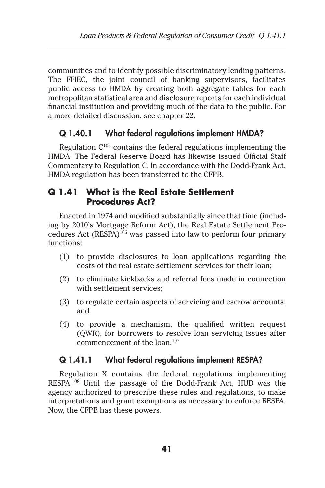communities and to identify possible discriminatory lending patterns. The FFIEC, the joint council of banking supervisors, facilitates public access to HMDA by creating both aggregate tables for each metropolitan statistical area and disclosure reports for each individual financial institution and providing much of the data to the public. For a more detailed discussion, see chapter 22.

# Q 1.40.1 What federal regulations implement HMDA?

Regulation  $C^{105}$  contains the federal regulations implementing the HMDA. The Federal Reserve Board has likewise issued Official Staff Commentary to Regulation C. In accordance with the Dodd-Frank Act, HMDA regulation has been transferred to the CFPB.

# **Q 1.41 What is the Real Estate Settlement Procedures Act?**

Enacted in 1974 and modified substantially since that time (including by 2010's Mortgage Reform Act), the Real Estate Settlement Procedures Act (RESPA)106 was passed into law to perform four primary functions:

- (1) to provide disclosures to loan applications regarding the costs of the real estate settlement services for their loan;
- (2) to eliminate kickbacks and referral fees made in connection with settlement services;
- (3) to regulate certain aspects of servicing and escrow accounts; and
- (4) to provide a mechanism, the qualified written request (QWR), for borrowers to resolve loan servicing issues after commencement of the loan.107

# Q 1.41.1 What federal regulations implement RESPA?

Regulation X contains the federal regulations implementing RESPA.108 Until the passage of the Dodd-Frank Act, HUD was the agency authorized to prescribe these rules and regulations, to make interpretations and grant exemptions as necessary to enforce RESPA. Now, the CFPB has these powers.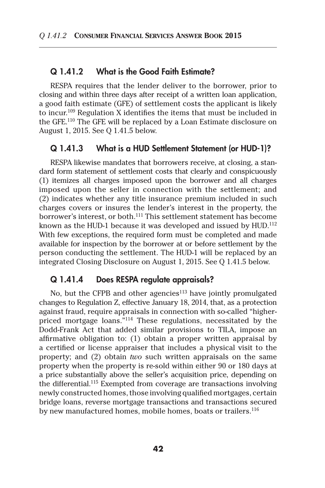#### Q 1.41.2 What is the Good Faith Estimate?

RESPA requires that the lender deliver to the borrower, prior to closing and within three days after receipt of a written loan application, a good faith estimate (GFE) of settlement costs the applicant is likely to incur.109 Regulation X identifies the items that must be included in the GFE.110 The GFE will be replaced by a Loan Estimate disclosure on August 1, 2015. See Q 1.41.5 below.

#### Q 1.41.3 What is a HUD Settlement Statement (or HUD-1)?

RESPA likewise mandates that borrowers receive, at closing, a standard form statement of settlement costs that clearly and conspicuously (1) itemizes all charges imposed upon the borrower and all charges imposed upon the seller in connection with the settlement; and (2) indicates whether any title insurance premium included in such charges covers or insures the lender's interest in the property, the borrower's interest, or both.<sup>111</sup> This settlement statement has become known as the HUD-1 because it was developed and issued by HUD.<sup>112</sup> With few exceptions, the required form must be completed and made available for inspection by the borrower at or before settlement by the person conducting the settlement. The HUD-1 will be replaced by an integrated Closing Disclosure on August 1, 2015. See Q 1.41.5 below.

#### Q 1.41.4 Does RESPA regulate appraisals?

No, but the CFPB and other agencies<sup>113</sup> have jointly promulgated changes to Regulation Z, effective January 18, 2014, that, as a protection against fraud, require appraisals in connection with so-called "higherpriced mortgage loans."114 These regulations, necessitated by the Dodd-Frank Act that added similar provisions to TILA, impose an affirmative obligation to: (1) obtain a proper written appraisal by a certified or license appraiser that includes a physical visit to the property; and (2) obtain *two* such written appraisals on the same property when the property is re-sold within either 90 or 180 days at a price substantially above the seller's acquisition price, depending on the differential.<sup>115</sup> Exempted from coverage are transactions involving newly constructed homes, those involving qualified mortgages, certain bridge loans, reverse mortgage transactions and transactions secured by new manufactured homes, mobile homes, boats or trailers.<sup>116</sup>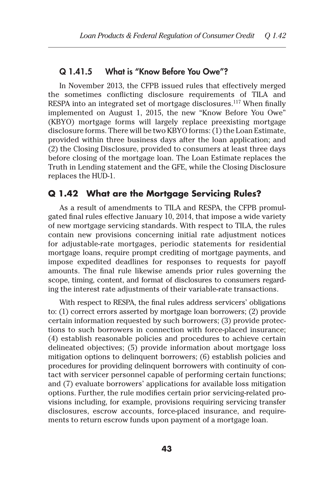#### Q 1.41.5 What is "Know Before You Owe"?

In November 2013, the CFPB issued rules that effectively merged the sometimes conflicting disclosure requirements of TILA and RESPA into an integrated set of mortgage disclosures.<sup>117</sup> When finally implemented on August 1, 2015, the new "Know Before You Owe" (KBYO) mortgage forms will largely replace preexisting mortgage disclosure forms. There will be two KBYO forms: (1) the Loan Estimate, provided within three business days after the loan application; and (2) the Closing Disclosure, provided to consumers at least three days before closing of the mortgage loan. The Loan Estimate replaces the Truth in Lending statement and the GFE, while the Closing Disclosure replaces the HUD-1.

### **Q 1.42 What are the Mortgage Servicing Rules?**

As a result of amendments to TILA and RESPA, the CFPB promulgated final rules effective January 10, 2014, that impose a wide variety of new mortgage servicing standards. With respect to TILA, the rules contain new provisions concerning initial rate adjustment notices for adjustable-rate mortgages, periodic statements for residential mortgage loans, require prompt crediting of mortgage payments, and impose expedited deadlines for responses to requests for payoff amounts. The final rule likewise amends prior rules governing the scope, timing, content, and format of disclosures to consumers regarding the interest rate adjustments of their variable-rate transactions.

With respect to RESPA, the final rules address servicers' obligations to: (1) correct errors asserted by mortgage loan borrowers; (2) provide certain information requested by such borrowers; (3) provide protections to such borrowers in connection with force-placed insurance; (4) establish reasonable policies and procedures to achieve certain delineated objectives; (5) provide information about mortgage loss mitigation options to delinquent borrowers; (6) establish policies and procedures for providing delinquent borrowers with continuity of contact with servicer personnel capable of performing certain functions; and (7) evaluate borrowers' applications for available loss mitigation options. Further, the rule modifies certain prior servicing-related provisions including, for example, provisions requiring servicing transfer disclosures, escrow accounts, force-placed insurance, and requirements to return escrow funds upon payment of a mortgage loan.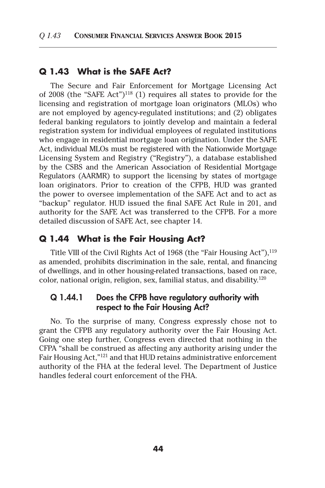#### **Q 1.43 What is the SAFE Act?**

The Secure and Fair Enforcement for Mortgage Licensing Act of 2008 (the "SAFE Act")118 (1) requires all states to provide for the licensing and registration of mortgage loan originators (MLOs) who are not employed by agency-regulated institutions; and (2) obligates federal banking regulators to jointly develop and maintain a federal registration system for individual employees of regulated institutions who engage in residential mortgage loan origination. Under the SAFE Act, individual MLOs must be registered with the Nationwide Mortgage Licensing System and Registry ("Registry"), a database established by the CSBS and the American Association of Residential Mortgage Regulators (AARMR) to support the licensing by states of mortgage loan originators. Prior to creation of the CFPB, HUD was granted the power to oversee implementation of the SAFE Act and to act as "backup" regulator. HUD issued the final SAFE Act Rule in 201, and authority for the SAFE Act was transferred to the CFPB. For a more detailed discussion of SAFE Act, see chapter 14.

### **Q 1.44 What is the Fair Housing Act?**

Title VIII of the Civil Rights Act of 1968 (the "Fair Housing Act"), <sup>119</sup> as amended, prohibits discrimination in the sale, rental, and financing of dwellings, and in other housing-related transactions, based on race, color, national origin, religion, sex, familial status, and disability.<sup>120</sup>

### Q 1.44.1 Does the CFPB have regulatory authority with respect to the Fair Housing Act?

No. To the surprise of many, Congress expressly chose not to grant the CFPB any regulatory authority over the Fair Housing Act. Going one step further, Congress even directed that nothing in the CFPA "shall be construed as affecting any authority arising under the Fair Housing Act,"121 and that HUD retains administrative enforcement authority of the FHA at the federal level. The Department of Justice handles federal court enforcement of the FHA.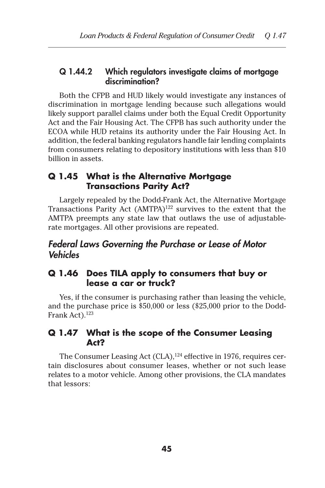### Q 1.44.2 Which regulators investigate claims of mortgage discrimination?

Both the CFPB and HUD likely would investigate any instances of discrimination in mortgage lending because such allegations would likely support parallel claims under both the Equal Credit Opportunity Act and the Fair Housing Act. The CFPB has such authority under the ECOA while HUD retains its authority under the Fair Housing Act. In addition, the federal banking regulators handle fair lending complaints from consumers relating to depository institutions with less than \$10 billion in assets.

### **Q 1.45 What is the Alternative Mortgage Transactions Parity Act?**

Largely repealed by the Dodd-Frank Act, the Alternative Mortgage Transactions Parity Act (AMTPA)122 survives to the extent that the AMTPA preempts any state law that outlaws the use of adjustablerate mortgages. All other provisions are repeated.

# *Federal Laws Governing the Purchase or Lease of Motor Vehicles*

### **Q 1.46 Does TILA apply to consumers that buy or lease a car or truck?**

Yes, if the consumer is purchasing rather than leasing the vehicle, and the purchase price is \$50,000 or less (\$25,000 prior to the Dodd-Frank Act).<sup>123</sup>

### **Q 1.47 What is the scope of the Consumer Leasing Act?**

The Consumer Leasing Act (CLA),<sup>124</sup> effective in 1976, requires certain disclosures about consumer leases, whether or not such lease relates to a motor vehicle. Among other provisions, the CLA mandates that lessors: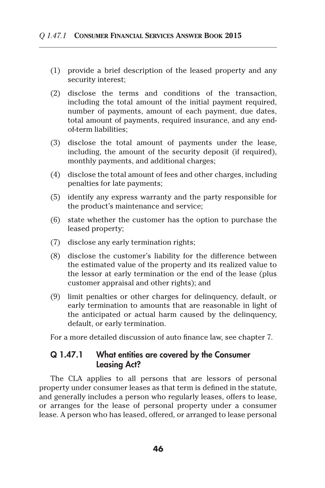- (1) provide a brief description of the leased property and any security interest;
- (2) disclose the terms and conditions of the transaction, including the total amount of the initial payment required, number of payments, amount of each payment, due dates, total amount of payments, required insurance, and any endof-term liabilities;
- (3) disclose the total amount of payments under the lease, including, the amount of the security deposit (if required), monthly payments, and additional charges;
- (4) disclose the total amount of fees and other charges, including penalties for late payments;
- (5) identify any express warranty and the party responsible for the product's maintenance and service;
- (6) state whether the customer has the option to purchase the leased property;
- (7) disclose any early termination rights;
- (8) disclose the customer's liability for the difference between the estimated value of the property and its realized value to the lessor at early termination or the end of the lease (plus customer appraisal and other rights); and
- (9) limit penalties or other charges for delinquency, default, or early termination to amounts that are reasonable in light of the anticipated or actual harm caused by the delinquency, default, or early termination.

For a more detailed discussion of auto finance law, see chapter 7.

### Q 1.47.1 What entities are covered by the Consumer Leasing Act?

The CLA applies to all persons that are lessors of personal property under consumer leases as that term is defined in the statute, and generally includes a person who regularly leases, offers to lease, or arranges for the lease of personal property under a consumer lease. A person who has leased, offered, or arranged to lease personal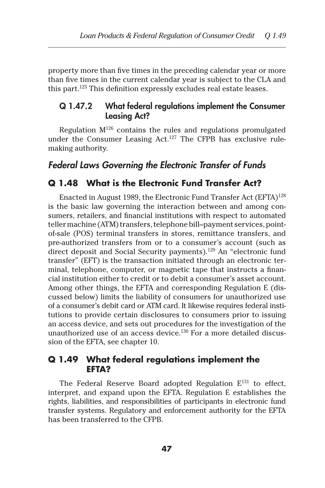property more than five times in the preceding calendar year or more than five times in the current calendar year is subject to the CLA and this part.125 This definition expressly excludes real estate leases.

#### Q 1.47.2 What federal regulations implement the Consumer Leasing Act?

Regulation M126 contains the rules and regulations promulgated under the Consumer Leasing Act.<sup>127</sup> The CFPB has exclusive rulemaking authority.

## *Federal Laws Governing the Electronic Transfer of Funds*

#### **Q 1.48 What is the Electronic Fund Transfer Act?**

Enacted in August 1989, the Electronic Fund Transfer Act  $(EFTA)^{128}$ is the basic law governing the interaction between and among consumers, retailers, and financial institutions with respect to automated teller machine (ATM) transfers, telephone bill–payment services, pointof-sale (POS) terminal transfers in stores, remittance transfers, and pre-authorized transfers from or to a consumer's account (such as direct deposit and Social Security payments).129 An "electronic fund transfer" (EFT) is the transaction initiated through an electronic terminal, telephone, computer, or magnetic tape that instructs a financial institution either to credit or to debit a consumer's asset account. Among other things, the EFTA and corresponding Regulation E (discussed below) limits the liability of consumers for unauthorized use of a consumer's debit card or ATM card. It likewise requires federal institutions to provide certain disclosures to consumers prior to issuing an access device, and sets out procedures for the investigation of the unauthorized use of an access device.<sup>130</sup> For a more detailed discussion of the EFTA, see chapter 10.

#### **Q 1.49 What federal regulations implement the EFTA?**

The Federal Reserve Board adopted Regulation  $E^{131}$  to effect, interpret, and expand upon the EFTA. Regulation E establishes the rights, liabilities, and responsibilities of participants in electronic fund transfer systems. Regulatory and enforcement authority for the EFTA has been transferred to the CFPB.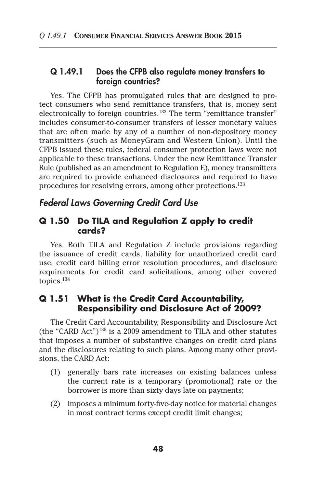### Q 1.49.1 Does the CFPB also regulate money transfers to foreign countries?

Yes. The CFPB has promulgated rules that are designed to protect consumers who send remittance transfers, that is, money sent electronically to foreign countries.<sup>132</sup> The term "remittance transfer" includes consumer-to-consumer transfers of lesser monetary values that are often made by any of a number of non-depository money transmitters (such as MoneyGram and Western Union). Until the CFPB issued these rules, federal consumer protection laws were not applicable to these transactions. Under the new Remittance Transfer Rule (published as an amendment to Regulation E), money transmitters are required to provide enhanced disclosures and required to have procedures for resolving errors, among other protections.133

# *Federal Laws Governing Credit Card Use*

### **Q 1.50 Do TILA and Regulation Z apply to credit cards?**

Yes. Both TILA and Regulation Z include provisions regarding the issuance of credit cards, liability for unauthorized credit card use, credit card billing error resolution procedures, and disclosure requirements for credit card solicitations, among other covered topics.134

### **Q 1.51 What is the Credit Card Accountability, Responsibility and Disclosure Act of 2009?**

The Credit Card Accountability, Responsibility and Disclosure Act (the "CARD Act")<sup>135</sup> is a 2009 amendment to TILA and other statutes that imposes a number of substantive changes on credit card plans and the disclosures relating to such plans. Among many other provisions, the CARD Act:

- (1) generally bars rate increases on existing balances unless the current rate is a temporary (promotional) rate or the borrower is more than sixty days late on payments;
- (2) imposes a minimum forty-five-day notice for material changes in most contract terms except credit limit changes;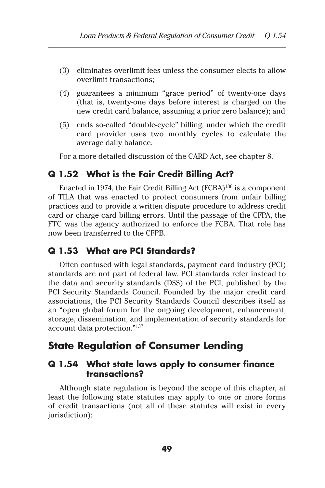- (3) eliminates overlimit fees unless the consumer elects to allow overlimit transactions;
- (4) guarantees a minimum "grace period" of twenty-one days (that is, twenty-one days before interest is charged on the new credit card balance, assuming a prior zero balance); and
- (5) ends so-called "double-cycle" billing, under which the credit card provider uses two monthly cycles to calculate the average daily balance.

For a more detailed discussion of the CARD Act, see chapter 8.

### **Q 1.52 What is the Fair Credit Billing Act?**

Enacted in 1974, the Fair Credit Billing Act  $(FCBA)^{136}$  is a component of TILA that was enacted to protect consumers from unfair billing practices and to provide a written dispute procedure to address credit card or charge card billing errors. Until the passage of the CFPA, the FTC was the agency authorized to enforce the FCBA. That role has now been transferred to the CFPB.

#### **Q 1.53 What are PCI Standards?**

Often confused with legal standards, payment card industry (PCI) standards are not part of federal law. PCI standards refer instead to the data and security standards (DSS) of the PCI, published by the PCI Security Standards Council. Founded by the major credit card associations, the PCI Security Standards Council describes itself as an "open global forum for the ongoing development, enhancement, storage, dissemination, and implementation of security standards for account data protection."137

# **State Regulation of Consumer Lending**

### **Q 1.54 What state laws apply to consumer finance transactions?**

Although state regulation is beyond the scope of this chapter, at least the following state statutes may apply to one or more forms of credit transactions (not all of these statutes will exist in every jurisdiction):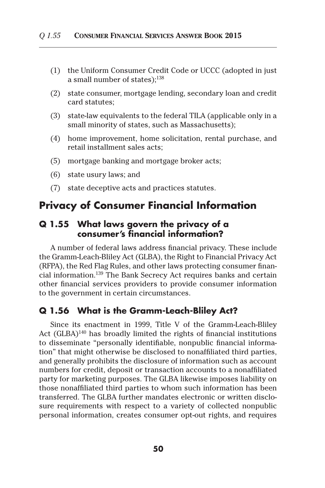- (1) the Uniform Consumer Credit Code or UCCC (adopted in just a small number of states); $138$
- (2) state consumer, mortgage lending, secondary loan and credit card statutes;
- (3) state-law equivalents to the federal TILA (applicable only in a small minority of states, such as Massachusetts);
- (4) home improvement, home solicitation, rental purchase, and retail installment sales acts;
- (5) mortgage banking and mortgage broker acts;
- (6) state usury laws; and
- (7) state deceptive acts and practices statutes.

# **Privacy of Consumer Financial Information**

### **Q 1.55 What laws govern the privacy of a consumer's financial information?**

A number of federal laws address financial privacy. These include the Gramm-Leach-Bliley Act (GLBA), the Right to Financial Privacy Act (RFPA), the Red Flag Rules, and other laws protecting consumer financial information.139 The Bank Secrecy Act requires banks and certain other financial services providers to provide consumer information to the government in certain circumstances.

#### **Q 1.56 What is the Gramm-Leach-Bliley Act?**

Since its enactment in 1999, Title V of the Gramm-Leach-Bliley Act  $(GLBA)^{140}$  has broadly limited the rights of financial institutions to disseminate "personally identifiable, nonpublic financial information" that might otherwise be disclosed to nonaffiliated third parties, and generally prohibits the disclosure of information such as account numbers for credit, deposit or transaction accounts to a nonaffiliated party for marketing purposes. The GLBA likewise imposes liability on those nonaffiliated third parties to whom such information has been transferred. The GLBA further mandates electronic or written disclosure requirements with respect to a variety of collected nonpublic personal information, creates consumer opt-out rights, and requires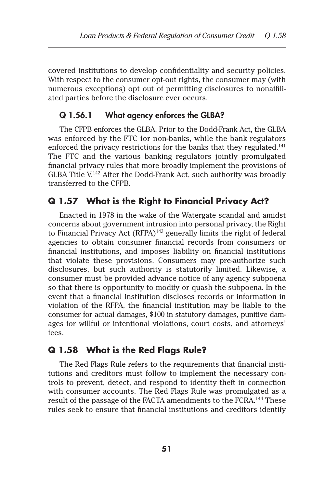covered institutions to develop confidentiality and security policies. With respect to the consumer opt-out rights, the consumer may (with numerous exceptions) opt out of permitting disclosures to nonaffiliated parties before the disclosure ever occurs.

## Q 1.56.1 What agency enforces the GLBA?

The CFPB enforces the GLBA. Prior to the Dodd-Frank Act, the GLBA was enforced by the FTC for non-banks, while the bank regulators enforced the privacy restrictions for the banks that they regulated.<sup>141</sup> The FTC and the various banking regulators jointly promulgated financial privacy rules that more broadly implement the provisions of GLBA Title  $V^{142}$  After the Dodd-Frank Act, such authority was broadly transferred to the CFPB.

# **Q 1.57 What is the Right to Financial Privacy Act?**

Enacted in 1978 in the wake of the Watergate scandal and amidst concerns about government intrusion into personal privacy, the Right to Financial Privacy Act (RFPA)<sup>143</sup> generally limits the right of federal agencies to obtain consumer financial records from consumers or financial institutions, and imposes liability on financial institutions that violate these provisions. Consumers may pre-authorize such disclosures, but such authority is statutorily limited. Likewise, a consumer must be provided advance notice of any agency subpoena so that there is opportunity to modify or quash the subpoena. In the event that a financial institution discloses records or information in violation of the RFPA, the financial institution may be liable to the consumer for actual damages, \$100 in statutory damages, punitive damages for willful or intentional violations, court costs, and attorneys' fees.

### **Q 1.58 What is the Red Flags Rule?**

The Red Flags Rule refers to the requirements that financial institutions and creditors must follow to implement the necessary controls to prevent, detect, and respond to identity theft in connection with consumer accounts. The Red Flags Rule was promulgated as a result of the passage of the FACTA amendments to the FCRA.<sup>144</sup> These rules seek to ensure that financial institutions and creditors identify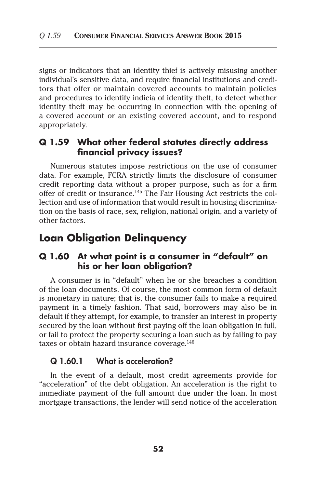signs or indicators that an identity thief is actively misusing another individual's sensitive data, and require financial institutions and creditors that offer or maintain covered accounts to maintain policies and procedures to identify indicia of identity theft, to detect whether identity theft may be occurring in connection with the opening of a covered account or an existing covered account, and to respond appropriately.

### **Q 1.59 What other federal statutes directly address financial privacy issues?**

Numerous statutes impose restrictions on the use of consumer data. For example, FCRA strictly limits the disclosure of consumer credit reporting data without a proper purpose, such as for a firm offer of credit or insurance.145 The Fair Housing Act restricts the collection and use of information that would result in housing discrimination on the basis of race, sex, religion, national origin, and a variety of other factors.

# **Loan Obligation Delinquency**

### **Q 1.60 At what point is a consumer in "default" on his or her loan obligation?**

A consumer is in "default" when he or she breaches a condition of the loan documents. Of course, the most common form of default is monetary in nature; that is, the consumer fails to make a required payment in a timely fashion. That said, borrowers may also be in default if they attempt, for example, to transfer an interest in property secured by the loan without first paying off the loan obligation in full, or fail to protect the property securing a loan such as by failing to pay taxes or obtain hazard insurance coverage.<sup>146</sup>

#### Q 1.60.1 What is acceleration?

In the event of a default, most credit agreements provide for "acceleration" of the debt obligation. An acceleration is the right to immediate payment of the full amount due under the loan. In most mortgage transactions, the lender will send notice of the acceleration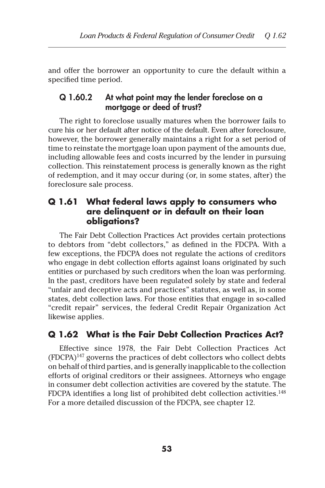and offer the borrower an opportunity to cure the default within a specified time period.

### Q 1.60.2 At what point may the lender foreclose on a mortgage or deed of trust?

The right to foreclose usually matures when the borrower fails to cure his or her default after notice of the default. Even after foreclosure, however, the borrower generally maintains a right for a set period of time to reinstate the mortgage loan upon payment of the amounts due, including allowable fees and costs incurred by the lender in pursuing collection. This reinstatement process is generally known as the right of redemption, and it may occur during (or, in some states, after) the foreclosure sale process.

### **Q 1.61 What federal laws apply to consumers who are delinquent or in default on their loan obligations?**

The Fair Debt Collection Practices Act provides certain protections to debtors from "debt collectors," as defined in the FDCPA. With a few exceptions, the FDCPA does not regulate the actions of creditors who engage in debt collection efforts against loans originated by such entities or purchased by such creditors when the loan was performing. In the past, creditors have been regulated solely by state and federal "unfair and deceptive acts and practices" statutes, as well as, in some states, debt collection laws. For those entities that engage in so-called "credit repair" services, the federal Credit Repair Organization Act likewise applies.

# **Q 1.62 What is the Fair Debt Collection Practices Act?**

Effective since 1978, the Fair Debt Collection Practices Act (FDCPA)147 governs the practices of debt collectors who collect debts on behalf of third parties, and is generally inapplicable to the collection efforts of original creditors or their assignees. Attorneys who engage in consumer debt collection activities are covered by the statute. The FDCPA identifies a long list of prohibited debt collection activities.<sup>148</sup> For a more detailed discussion of the FDCPA, see chapter 12.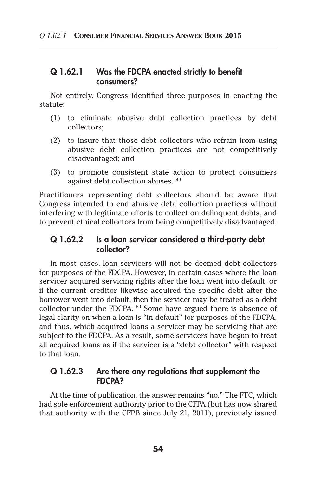### Q 1.62.1 Was the FDCPA enacted strictly to benefit consumers?

Not entirely. Congress identified three purposes in enacting the statute:

- (1) to eliminate abusive debt collection practices by debt collectors;
- (2) to insure that those debt collectors who refrain from using abusive debt collection practices are not competitively disadvantaged; and
- (3) to promote consistent state action to protect consumers against debt collection abuses.<sup>149</sup>

Practitioners representing debt collectors should be aware that Congress intended to end abusive debt collection practices without interfering with legitimate efforts to collect on delinquent debts, and to prevent ethical collectors from being competitively disadvantaged.

### Q 1.62.2 Is a loan servicer considered a third-party debt collector?

In most cases, loan servicers will not be deemed debt collectors for purposes of the FDCPA. However, in certain cases where the loan servicer acquired servicing rights after the loan went into default, or if the current creditor likewise acquired the specific debt after the borrower went into default, then the servicer may be treated as a debt collector under the FDCPA.150 Some have argued there is absence of legal clarity on when a loan is "in default" for purposes of the FDCPA, and thus, which acquired loans a servicer may be servicing that are subject to the FDCPA. As a result, some servicers have begun to treat all acquired loans as if the servicer is a "debt collector" with respect to that loan.

#### Q 1.62.3 Are there any regulations that supplement the FDCPA?

At the time of publication, the answer remains "no." The FTC, which had sole enforcement authority prior to the CFPA (but has now shared that authority with the CFPB since July 21, 2011), previously issued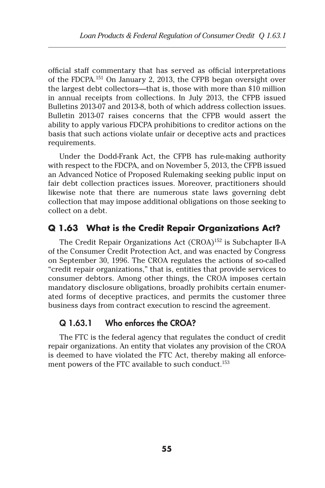official staff commentary that has served as official interpretations of the FDCPA.151 On January 2, 2013, the CFPB began oversight over the largest debt collectors—that is, those with more than \$10 million in annual receipts from collections. In July 2013, the CFPB issued Bulletins 2013-07 and 2013-8, both of which address collection issues. Bulletin 2013-07 raises concerns that the CFPB would assert the ability to apply various FDCPA prohibitions to creditor actions on the basis that such actions violate unfair or deceptive acts and practices requirements.

Under the Dodd-Frank Act, the CFPB has rule-making authority with respect to the FDCPA, and on November 5, 2013, the CFPB issued an Advanced Notice of Proposed Rulemaking seeking public input on fair debt collection practices issues. Moreover, practitioners should likewise note that there are numerous state laws governing debt collection that may impose additional obligations on those seeking to collect on a debt.

# **Q 1.63 What is the Credit Repair Organizations Act?**

The Credit Repair Organizations Act (CROA)152 is Subchapter II-A of the Consumer Credit Protection Act, and was enacted by Congress on September 30, 1996. The CROA regulates the actions of so-called "credit repair organizations," that is, entities that provide services to consumer debtors. Among other things, the CROA imposes certain mandatory disclosure obligations, broadly prohibits certain enumerated forms of deceptive practices, and permits the customer three business days from contract execution to rescind the agreement.

### Q 1.63.1 Who enforces the CROA?

The FTC is the federal agency that regulates the conduct of credit repair organizations. An entity that violates any provision of the CROA is deemed to have violated the FTC Act, thereby making all enforcement powers of the FTC available to such conduct.<sup>153</sup>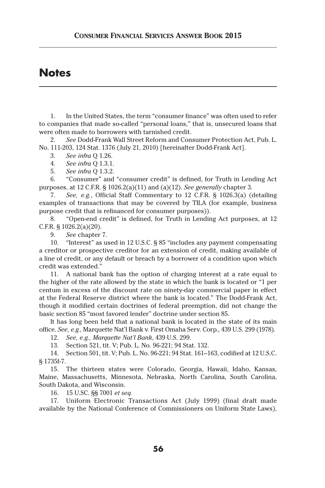# **Notes**

1. In the United States, the term "consumer finance" was often used to refer to companies that made so-called "personal loans," that is, unsecured loans that were often made to borrowers with tarnished credit.

2. *See* Dodd-Frank Wall Street Reform and Consumer Protection Act, Pub. L. No. 111-203, 124 Stat. 1376 (July 21, 2010) [hereinafter Dodd-Frank Act].

3. *See infra* Q 1.26.

4. *See infra* Q 1.3.1.

5. *See infra* Q 1.3.2.

6. "Consumer" and "consumer credit" is defined, for Truth in Lending Act purposes, at 12 C.F.R. § 1026.2(a)(11) and (a)(12). *See generally* chapter 3.

7. *See, e.g.*, Official Staff Commentary to 12 C.F.R. § 1026.3(a) (detailing examples of transactions that may be covered by TILA (for example, business purpose credit that is refinanced for consumer purposes)).

8. "Open-end credit" is defined, for Truth in Lending Act purposes, at 12 C.F.R. § 1026.2(a)(20).

9. *See* chapter 7.

10. "Interest" as used in 12 U.S.C. § 85 "includes any payment compensating a creditor or prospective creditor for an extension of credit, making available of a line of credit, or any default or breach by a borrower of a condition upon which credit was extended."

11. A national bank has the option of charging interest at a rate equal to the higher of the rate allowed by the state in which the bank is located or "1 per centum in excess of the discount rate on ninety-day commercial paper in effect at the Federal Reserve district where the bank is located." The Dodd-Frank Act, though it modified certain doctrines of federal preemption, did not change the basic section 85 "most favored lender" doctrine under section 85.

It has long been held that a national bank is located in the state of its main office. *See, e.g.*, Marquette Nat'l Bank v. First Omaha Serv. Corp., 439 U.S. 299 (1978).

12. *See, e.g., Marquette Nat'l Bank*, 439 U.S. 299.

13. Section 521, tit. V; Pub. L. No. 96-221; 94 Stat. 132.

14. Section 501, tit. V; Pub. L. No. 96-221; 94 Stat. 161–163, codified at 12 U.S.C. § 1735f-7.

15. The thirteen states were Colorado, Georgia, Hawaii, Idaho, Kansas, Maine, Massachusetts, Minnesota, Nebraska, North Carolina, South Carolina, South Dakota, and Wisconsin.

16. 15 U.SC. §§ 7001 *et seq.*

17. Uniform Electronic Transactions Act (July 1999) (final draft made available by the National Conference of Commissioners on Uniform State Laws),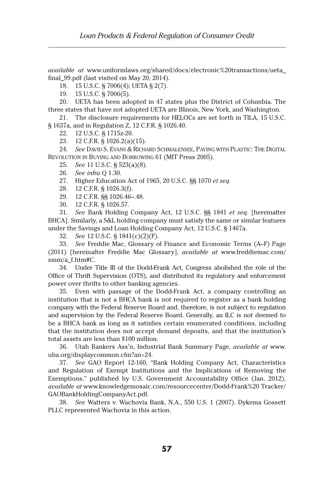*available at* www.uniformlaws.org/shared/docs/electronic%20transactions/ueta\_ final\_99.pdf (last visited on May 20, 2014).

18. 15 U.S.C. § 7006(4); UETA § 2(7).

19. 15 U.S.C. § 7006(5).

20. UETA has been adopted in 47 states plus the District of Columbia. The three states that have not adopted UETA are Illinois, New York, and Washington.

21. The disclosure requirements for HELOCs are set forth in TILA, 15 U.S.C. § 1637a, and in Regulation Z, 12 C.F.R. § 1026.40.

- 22. 12 U.S.C. § 1715z-20.
- 23. 12 C.F.R. § 1026.2(a)(15).

24. *See* David S. Evans & Richard Schmalensee, Paying with Plastic: The Digital Revolution in Buying and Borrowing 61 (MIT Press 2005).

- 25. *See* 11 U.S.C. § 523(a)(8).
- 26. *See infra* Q 1.30.
- 27. Higher Education Act of 1965, 20 U.S.C. §§ 1070 *et seq.*
- 28. 12 C.F.R. § 1026.3(f).

29. 12 C.F.R. §§ 1026.46–.48.

30. 12 C.F.R. § 1026.57.

31. *See* Bank Holding Company Act, 12 U.S.C. §§ 1841 *et seq.* [hereinafter BHCA]. Similarly, a S&L holding company must satisfy the same or similar features under the Savings and Loan Holding Company Act, 12 U.S.C. § 1467a.

32. *See* 12 U.S.C. § 1841(c)(2)(F).

33. *See* Freddie Mac, Glossary of Finance and Economic Terms (A–F) Page (2011) [hereinafter Freddie Mac Glossary], *available at* www.freddiemac.com/ smm/a\_f.htm#C.

34. Under Title III of the Dodd-Frank Act, Congress abolished the role of the Office of Thrift Supervision (OTS), and distributed its regulatory and enforcement power over thrifts to other banking agencies.

35. Even with passage of the Dodd-Frank Act, a company controlling an institution that is not a BHCA bank is not required to register as a bank holding company with the Federal Reserve Board and, therefore, is not subject to regulation and supervision by the Federal Reserve Board. Generally, an ILC is not deemed to be a BHCA bank as long as it satisfies certain enumerated conditions, including that the institution does not accept demand deposits, and that the institution's total assets are less than \$100 million.

36. Utah Bankers Ass'n, Industrial Bank Summary Page, *available at* www. uba.org/displaycommon.cfm?an=24.

37. *See* GAO Report 12-160, "Bank Holding Company Act, Characteristics and Regulation of Exempt Institutions and the Implications of Removing the Exemptions," published by U.S. Government Accountability Office (Jan. 2012), *available at* www.knowledgemosaic.com/resourcecenter/Dodd-Frank%20 Tracker/ GAOBankHoldingCompanyAct.pdf.

38. *See* Watters v. Wachovia Bank, N.A., 550 U.S. 1 (2007). Dykema Gossett PLLC represented Wachovia in this action.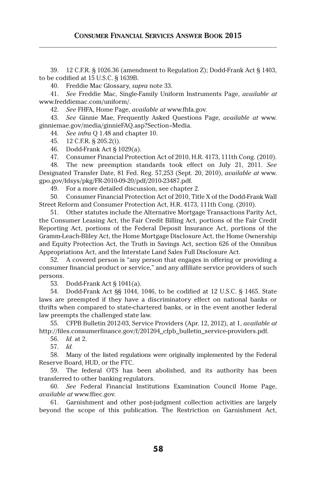39. 12 C.F.R. § 1026.36 (amendment to Regulation Z); Dodd-Frank Act § 1403, to be codified at 15 U.S.C. § 1639B.

40. Freddie Mac Glossary, *supra* note 33.

41. *See* Freddie Mac, Single-Family Uniform Instruments Page, *available at*  www.freddiemac.com/uniform/.

42. *See* FHFA, Home Page, *available at* www.fhfa.gov.

43. *See* Ginnie Mae, Frequently Asked Questions Page, *available at* www. ginniemae.gov/media/ginnieFAQ.asp?Section=Media.

44. *See infra* Q 1.48 and chapter 10.

45. 12 C.F.R. § 205.2(i).

46. Dodd-Frank Act § 1029(a).

47. Consumer Financial Protection Act of 2010, H.R. 4173, 111th Cong. (2010).

48. The new preemption standards took effect on July 21, 2011. *See*  Designated Transfer Date, 81 Fed. Reg. 57,253 (Sept. 20, 2010), *available at* www. gpo.gov/fdsys/pkg/FR-2010-09-20/pdf/2010-23487.pdf.

49. For a more detailed discussion, see chapter 2.

50. Consumer Financial Protection Act of 2010, Title X of the Dodd-Frank Wall Street Reform and Consumer Protection Act, H.R. 4173, 111th Cong. (2010).

51. Other statutes include the Alternative Mortgage Transactions Parity Act, the Consumer Leasing Act, the Fair Credit Billing Act, portions of the Fair Credit Reporting Act, portions of the Federal Deposit Insurance Act, portions of the Gramm-Leach-Bliley Act, the Home Mortgage Disclosure Act, the Home Ownership and Equity Protection Act, the Truth in Savings Act, section 626 of the Omnibus Appropriations Act, and the Interstate Land Sales Full Disclosure Act.

52. A covered person is "any person that engages in offering or providing a consumer financial product or service," and any affiliate service providers of such persons.

53. Dodd-Frank Act § 1041(a).

54. Dodd-Frank Act §§ 1044, 1046, to be codified at 12 U.S.C. § 1465. State laws are preempted if they have a discriminatory effect on national banks or thrifts when compared to state-chartered banks, or in the event another federal law preempts the challenged state law.

55. CFPB Bulletin 2012-03, Service Providers (Apr. 12, 2012), at 1, *available at*  http://files.consumerfinance.gov/f/201204\_cfpb\_bulletin\_service-providers.pdf.

56. *Id.* at 2.

57. *Id.*

58. Many of the listed regulations were originally implemented by the Federal Reserve Board, HUD, or the FTC.

59. The federal OTS has been abolished, and its authority has been transferred to other banking regulators.

60. *See* Federal Financial Institutions Examination Council Home Page, *available at* www.ffiec.gov.

61. Garnishment and other post-judgment collection activities are largely beyond the scope of this publication. The Restriction on Garnishment Act,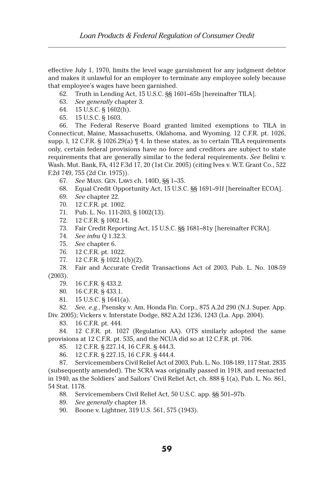effective July 1, 1970, limits the level wage garnishment for any judgment debtor and makes it unlawful for an employer to terminate any employee solely because that employee's wages have been garnished.

- 62. Truth in Lending Act, 15 U.S.C. §§ 1601–65b [hereinafter TILA].
- 63. *See generally* chapter 3.
- 64. 15 U.S.C. § 1602(h).
- 65. 15 U.S.C. § 1603.

66. The Federal Reserve Board granted limited exemptions to TILA in Connecticut, Maine, Massachusetts, Oklahoma, and Wyoming. 12 C.F.R. pt. 1026, supp. I, 12 C.F.R.  $\S$  1026.29(a)  $\P$  4. In these states, as to certain TILA requirements only, certain federal provisions have no force and creditors are subject to state requirements that are generally similar to the federal requirements. *See* Belini v. Wash. Mut. Bank, FA, 412 F.3d 17, 20 (1st Cir. 2005) (citing Ives v. W.T. Grant Co., 522 F.2d 749, 755 (2d Cir. 1975)).

- 67. *See* Mass. Gen. Laws ch. 140D, §§ 1–35.
- 68. Equal Credit Opportunity Act, 15 U.S.C. §§ 1691–91f [hereinafter ECOA].
- 69. *See* chapter 22.
- 70. 12 C.F.R. pt. 1002.
- 71. Pub. L. No. 111-203, § 1002(13).
- 72. 12 C.F.R. § 1002.14.
- 73. Fair Credit Reporting Act, 15 U.S.C. §§ 1681–81y [hereinafter FCRA].
- 74. *See infra* Q 1.32.3.
- 75. *See* chapter 6.
- 76. 12 C.F.R. pt. 1022.
- 77. 12 C.F.R. § 1022.1(b)(2).

78. Fair and Accurate Credit Transactions Act of 2003, Pub. L. No. 108-59 (2003).

- 79. 16 C.F.R. § 433.2.
- 80. 16 C.F.R. § 433.1.
- 81. 15 U.S.C. § 1641(a).

82. *See, e.g.*, Psensky v. Am. Honda Fin. Corp., 875 A.2d 290 (N.J. Super. App. Div. 2005); Vickers v. Interstate Dodge, 882 A.2d 1236, 1243 (La. App. 2004).

83. 16 C.F.R. pt. 444.

84. 12 C.F.R. pt. 1027 (Regulation AA). OTS similarly adopted the same provisions at 12 C.F.R. pt. 535, and the NCUA did so at 12 C.F.R. pt. 706.

- 85. 12 C.F.R. § 227.14, 16 C.F.R. § 444.3.
- 86. 12 C.F.R. § 227.15, 16 C.F.R. § 444.4.

87. Servicemembers Civil Relief Act of 2003, Pub. L. No. 108-189, 117 Stat. 2835 (subsequently amended). The SCRA was originally passed in 1918, and reenacted in 1940, as the Soldiers' and Sailors' Civil Relief Act, ch. 888 § 1(a), Pub. L. No. 861, 54 Stat. 1178.

88. Servicemembers Civil Relief Act, 50 U.S.C. app. §§ 501–97b.

- 89. *See generally* chapter 18.
- 90. Boone v. Lightner, 319 U.S. 561, 575 (1943).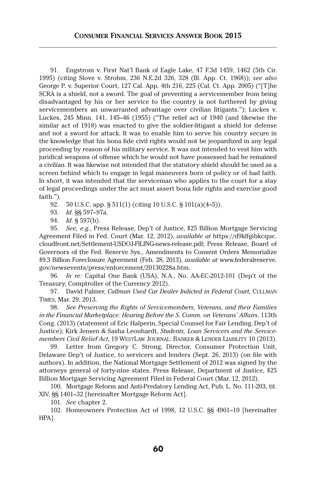91. Engstrom v. First Nat'l Bank of Eagle Lake, 47 F.3d 1459, 1462 (5th Cir. 1995) (citing Slove v. Strohm, 236 N.E.2d 326, 328 (Ill. App. Ct. 1968)); *see also*  George P. v. Superior Court, 127 Cal. App. 4th 216, 225 (Cal. Ct. App. 2005) ("[T]he SCRA is a shield, not a sword. The goal of preventing a servicemember from being disadvantaged by his or her service to the country is not furthered by giving servicemembers an unwarranted advantage over civilian litigants."); Luckes v. Luckes, 245 Minn. 141, 145–46 (1955) ("The relief act of 1940 (and likewise the similar act of 1918) was enacted to give the soldier-litigant a shield for defense and not a sword for attack. It was to enable him to serve his country secure in the knowledge that his bona fide civil rights would not be jeopardized in any legal proceeding by reason of his military service. It was not intended to vest him with juridical weapons of offense which he would not have possessed had he remained a civilian. It was likewise not intended that the statutory shield should be used as a screen behind which to engage in legal maneuvers born of policy or of bad faith. In short, it was intended that the serviceman who applies to the court for a stay of legal proceedings under the act must assert bona fide rights and exercise good faith.").

92. 50 U.S.C. app. § 511(1) (citing 10 U.S.C. § 101(a)(4–5)).

93. *Id*. §§ 597–97a.

94. *Id*. § 597(b).

95. *See, e.g.*, Press Release, Dep't of Justice, \$25 Billion Mortgage Servicing Agreement Filed in Fed. Court (Mar. 12, 2012), *available at* https://d9klfgibkcquc. cloudfront.net/Settlement-USDOJ-FILING-news-release.pdf; Press Release, Board of Governors of the Fed. Reserve Sys., Amendments to Consent Orders Memorialize \$9.3 Billion Foreclosure Agreement (Feb. 28, 2013), *available at* www.federalreserve. gov/newsevents/press/enforcement/20130228a.htm.

96. *In re:* Capital One Bank (USA), N.A*.*, No. AA-EC-2012-101 (Dep't of the Treasury, Comptroller of the Currency 2012).

97. David Palmer, *Cullman Used Car Dealer Indicted in Federal Court*, CULLMAN Times, Mar. 29, 2013.

98. *See Preserving the Rights of Servicemembers, Veterans, and their Families in the Financial Marketplace: Hearing Before the S. Comm. on Veterans' Affairs*, 113th Cong. (2013) (statement of Eric Halperin, Special Counsel for Fair Lending, Dep't of Justice); Kirk Jensen & Sasha Leonhardt, *Students, Loan Servicers and the Servicemembers Civil Relief Act*, 19 WestLaw Journal: Banker & Lender Liability 10 (2013).

99. Letter from Gregory C. Strong, Director, Consumer Protection Unit, Delaware Dep't of Justice, to servicers and lenders (Sept. 26, 2013) (on file with authors). In addition, the National Mortgage Settlement of 2012 was signed by the attorneys general of forty-nine states. Press Release, Department of Justice, \$25 Billion Mortgage Servicing Agreement Filed in Federal Court (Mar. 12, 2012).

100. Mortgage Reform and Anti-Predatory Lending Act, Pub. L. No. 111-203, tit. XIV, §§ 1401–32 [hereinafter Mortgage Reform Act].

101. *See* chapter 2.

102. Homeowners Protection Act of 1998, 12 U.S.C. §§ 4901–10 [hereinafter HPA].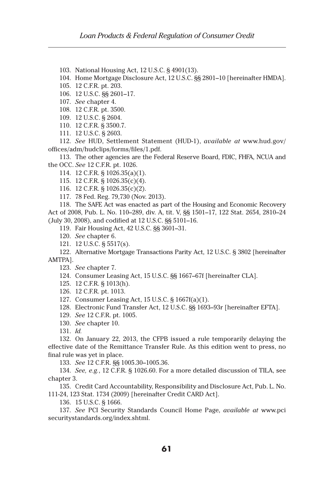103. National Housing Act, 12 U.S.C. § 4901(13).

104. Home Mortgage Disclosure Act, 12 U.S.C. §§ 2801–10 [hereinafter HMDA].

105. 12 C.F.R. pt. 203.

106. 12 U.S.C. §§ 2601–17.

107. *See* chapter 4.

108. 12 C.F.R. pt. 3500.

109. 12 U.S.C. § 2604.

110. 12 C.F.R. § 3500.7.

111. 12 U.S.C. § 2603.

112. *See* HUD, Settlement Statement (HUD-1), *available at* www.hud.gov/ offices/adm/hudclips/forms/files/1.pdf.

113. The other agencies are the Federal Reserve Board, FDIC, FHFA, NCUA and the OCC. *See* 12 C.F.R. pt. 1026.

114. 12 C.F.R. § 1026.35(a)(1).

115. 12 C.F.R. § 1026.35(c)(4).

116. 12 C.F.R. § 1026.35(c)(2).

117. 78 Fed. Reg. 79,730 (Nov. 2013).

118. The SAFE Act was enacted as part of the Housing and Economic Recovery Act of 2008, Pub. L. No. 110–289, div. A, tit. V, §§ 1501–17, 122 Stat. 2654, 2810–24 (July 30, 2008), and codified at 12 U.S.C. §§ 5101–16.

119. Fair Housing Act, 42 U.S.C. §§ 3601–31.

120. *See* chapter 6.

121. 12 U.S.C. § 5517(s).

122. Alternative Mortgage Transactions Parity Act, 12 U.S.C. § 3802 [hereinafter AMTPA].

123. *See* chapter 7.

124. Consumer Leasing Act, 15 U.S.C. §§ 1667–67f [hereinafter CLA].

125. 12 C.F.R. § 1013(h).

126. 12 C.F.R. pt. 1013.

127. Consumer Leasing Act, 15 U.S.C. § 1667f(a)(1).

128. Electronic Fund Transfer Act, 12 U.S.C. §§ 1693–93r [hereinafter EFTA].

129. *See* 12 C.F.R. pt. 1005.

130. *See* chapter 10.

131. *Id.*

132. On January 22, 2013, the CFPB issued a rule temporarily delaying the effective date of the Remittance Transfer Rule. As this edition went to press, no final rule was yet in place.

133. *See* 12 C.F.R. §§ 1005.30–1005.36.

134. *See, e.g.*, 12 C.F.R. § 1026.60. For a more detailed discussion of TILA, see chapter 3.

135. Credit Card Accountability, Responsibility and Disclosure Act, Pub. L. No. 111-24, 123 Stat. 1734 (2009) [hereinafter Credit CARD Act].

136. 15 U.S.C. § 1666.

137. *See* PCI Security Standards Council Home Page, *available at* www.pci securitystandards.org/index.shtml.